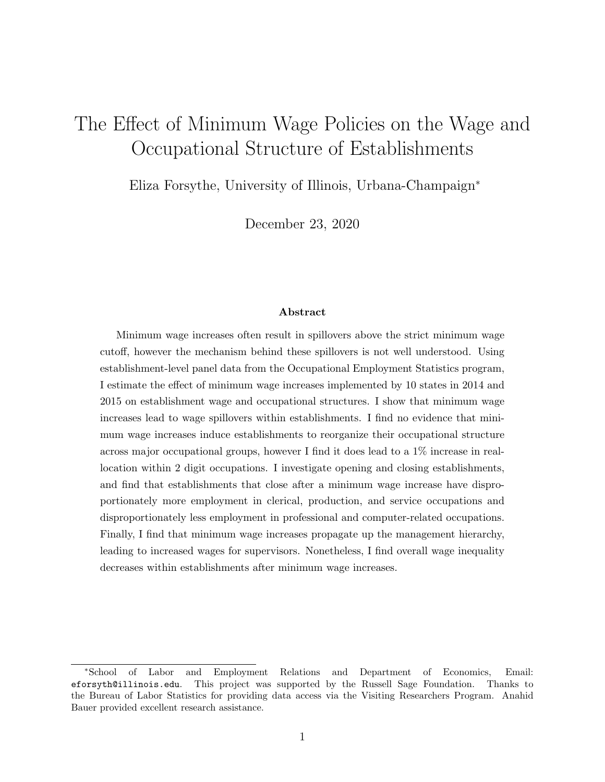# The Effect of Minimum Wage Policies on the Wage and Occupational Structure of Establishments

Eliza Forsythe, University of Illinois, Urbana-Champaign<sup>∗</sup>

December 23, 2020

#### Abstract

Minimum wage increases often result in spillovers above the strict minimum wage cutoff, however the mechanism behind these spillovers is not well understood. Using establishment-level panel data from the Occupational Employment Statistics program, I estimate the effect of minimum wage increases implemented by 10 states in 2014 and 2015 on establishment wage and occupational structures. I show that minimum wage increases lead to wage spillovers within establishments. I find no evidence that minimum wage increases induce establishments to reorganize their occupational structure across major occupational groups, however I find it does lead to a 1% increase in reallocation within 2 digit occupations. I investigate opening and closing establishments, and find that establishments that close after a minimum wage increase have disproportionately more employment in clerical, production, and service occupations and disproportionately less employment in professional and computer-related occupations. Finally, I find that minimum wage increases propagate up the management hierarchy, leading to increased wages for supervisors. Nonetheless, I find overall wage inequality decreases within establishments after minimum wage increases.

<sup>∗</sup>School of Labor and Employment Relations and Department of Economics, Email: eforsyth@illinois.edu. This project was supported by the Russell Sage Foundation. Thanks to the Bureau of Labor Statistics for providing data access via the Visiting Researchers Program. Anahid Bauer provided excellent research assistance.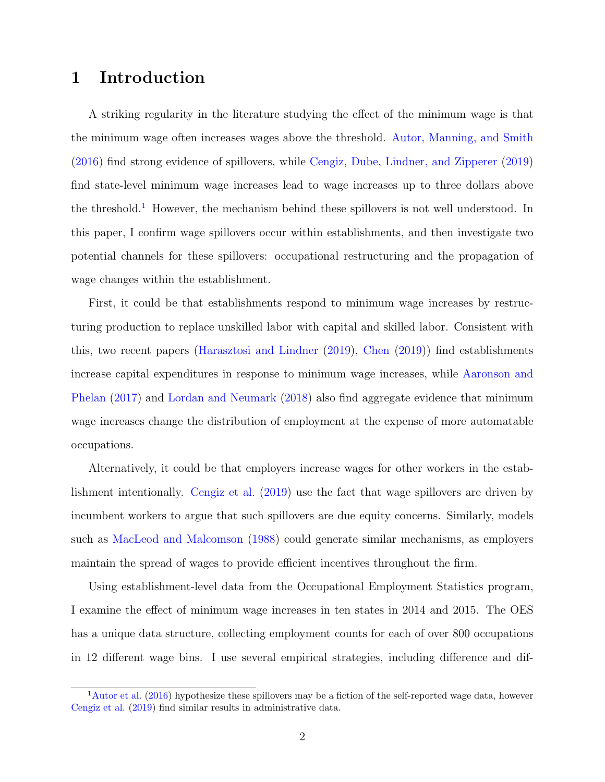# 1 Introduction

A striking regularity in the literature studying the effect of the minimum wage is that the minimum wage often increases wages above the threshold. [Autor, Manning, and Smith](#page-18-0) [\(2016\)](#page-18-0) find strong evidence of spillovers, while [Cengiz, Dube, Lindner, and Zipperer](#page-18-1) [\(2019\)](#page-18-1) find state-level minimum wage increases lead to wage increases up to three dollars above the threshold.<sup>[1](#page-1-0)</sup> However, the mechanism behind these spillovers is not well understood. In this paper, I confirm wage spillovers occur within establishments, and then investigate two potential channels for these spillovers: occupational restructuring and the propagation of wage changes within the establishment.

First, it could be that establishments respond to minimum wage increases by restructuring production to replace unskilled labor with capital and skilled labor. Consistent with this, two recent papers [\(Harasztosi and Lindner](#page-18-2) [\(2019\)](#page-18-2), [Chen](#page-18-3) [\(2019\)](#page-18-3)) find establishments increase capital expenditures in response to minimum wage increases, while [Aaronson and](#page-18-4) [Phelan](#page-18-4) [\(2017\)](#page-18-4) and [Lordan and Neumark](#page-18-5) [\(2018\)](#page-18-5) also find aggregate evidence that minimum wage increases change the distribution of employment at the expense of more automatable occupations.

Alternatively, it could be that employers increase wages for other workers in the establishment intentionally. [Cengiz et al.](#page-18-1) [\(2019\)](#page-18-1) use the fact that wage spillovers are driven by incumbent workers to argue that such spillovers are due equity concerns. Similarly, models such as [MacLeod and Malcomson](#page-18-6) [\(1988\)](#page-18-6) could generate similar mechanisms, as employers maintain the spread of wages to provide efficient incentives throughout the firm.

Using establishment-level data from the Occupational Employment Statistics program, I examine the effect of minimum wage increases in ten states in 2014 and 2015. The OES has a unique data structure, collecting employment counts for each of over 800 occupations in 12 different wage bins. I use several empirical strategies, including difference and dif-

<span id="page-1-0"></span> $1$ [Autor et al.](#page-18-0) [\(2016\)](#page-18-0) hypothesize these spillovers may be a fiction of the self-reported wage data, however [Cengiz et al.](#page-18-1) [\(2019\)](#page-18-1) find similar results in administrative data.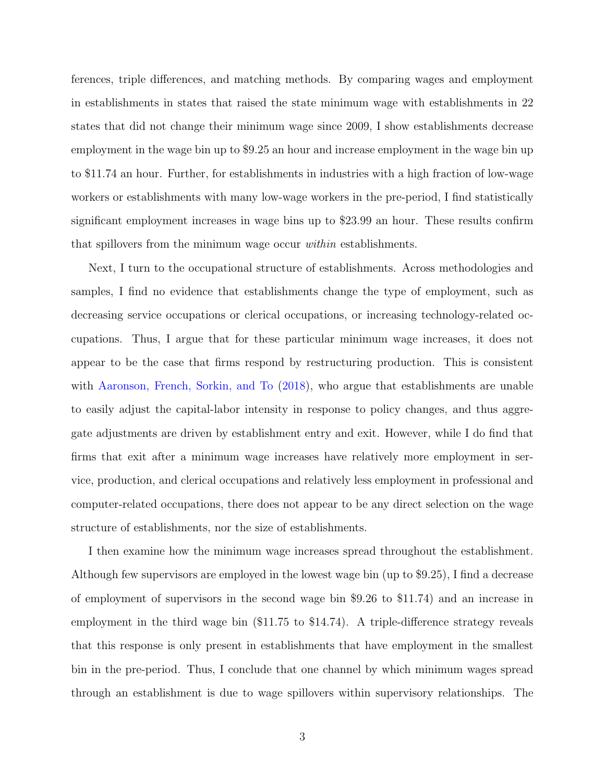ferences, triple differences, and matching methods. By comparing wages and employment in establishments in states that raised the state minimum wage with establishments in 22 states that did not change their minimum wage since 2009, I show establishments decrease employment in the wage bin up to \$9.25 an hour and increase employment in the wage bin up to \$11.74 an hour. Further, for establishments in industries with a high fraction of low-wage workers or establishments with many low-wage workers in the pre-period, I find statistically significant employment increases in wage bins up to \$23.99 an hour. These results confirm that spillovers from the minimum wage occur within establishments.

Next, I turn to the occupational structure of establishments. Across methodologies and samples, I find no evidence that establishments change the type of employment, such as decreasing service occupations or clerical occupations, or increasing technology-related occupations. Thus, I argue that for these particular minimum wage increases, it does not appear to be the case that firms respond by restructuring production. This is consistent with [Aaronson, French, Sorkin, and To](#page-18-7) [\(2018\)](#page-18-7), who argue that establishments are unable to easily adjust the capital-labor intensity in response to policy changes, and thus aggregate adjustments are driven by establishment entry and exit. However, while I do find that firms that exit after a minimum wage increases have relatively more employment in service, production, and clerical occupations and relatively less employment in professional and computer-related occupations, there does not appear to be any direct selection on the wage structure of establishments, nor the size of establishments.

I then examine how the minimum wage increases spread throughout the establishment. Although few supervisors are employed in the lowest wage bin (up to \$9.25), I find a decrease of employment of supervisors in the second wage bin \$9.26 to \$11.74) and an increase in employment in the third wage bin (\$11.75 to \$14.74). A triple-difference strategy reveals that this response is only present in establishments that have employment in the smallest bin in the pre-period. Thus, I conclude that one channel by which minimum wages spread through an establishment is due to wage spillovers within supervisory relationships. The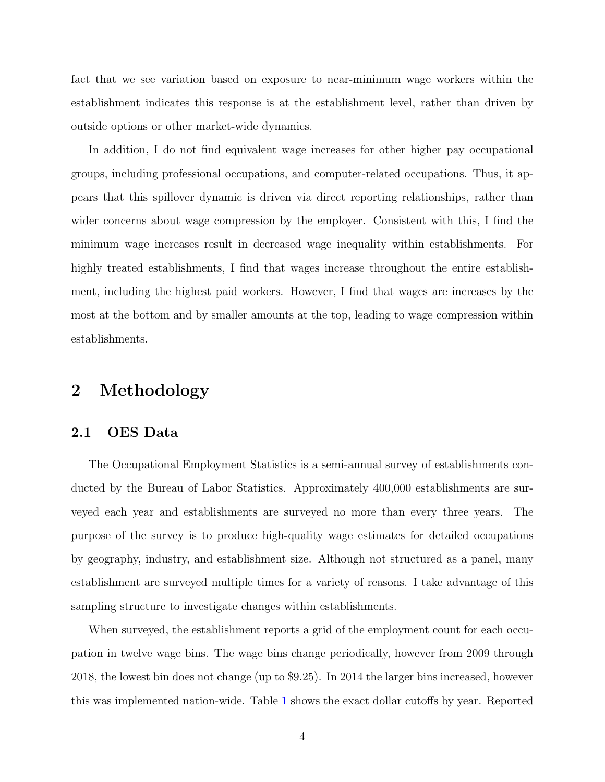fact that we see variation based on exposure to near-minimum wage workers within the establishment indicates this response is at the establishment level, rather than driven by outside options or other market-wide dynamics.

In addition, I do not find equivalent wage increases for other higher pay occupational groups, including professional occupations, and computer-related occupations. Thus, it appears that this spillover dynamic is driven via direct reporting relationships, rather than wider concerns about wage compression by the employer. Consistent with this, I find the minimum wage increases result in decreased wage inequality within establishments. For highly treated establishments. I find that wages increase throughout the entire establishment, including the highest paid workers. However, I find that wages are increases by the most at the bottom and by smaller amounts at the top, leading to wage compression within establishments.

## 2 Methodology

#### 2.1 OES Data

The Occupational Employment Statistics is a semi-annual survey of establishments conducted by the Bureau of Labor Statistics. Approximately 400,000 establishments are surveyed each year and establishments are surveyed no more than every three years. The purpose of the survey is to produce high-quality wage estimates for detailed occupations by geography, industry, and establishment size. Although not structured as a panel, many establishment are surveyed multiple times for a variety of reasons. I take advantage of this sampling structure to investigate changes within establishments.

When surveyed, the establishment reports a grid of the employment count for each occupation in twelve wage bins. The wage bins change periodically, however from 2009 through 2018, the lowest bin does not change (up to \$9.25). In 2014 the larger bins increased, however this was implemented nation-wide. Table [1](#page-19-0) shows the exact dollar cutoffs by year. Reported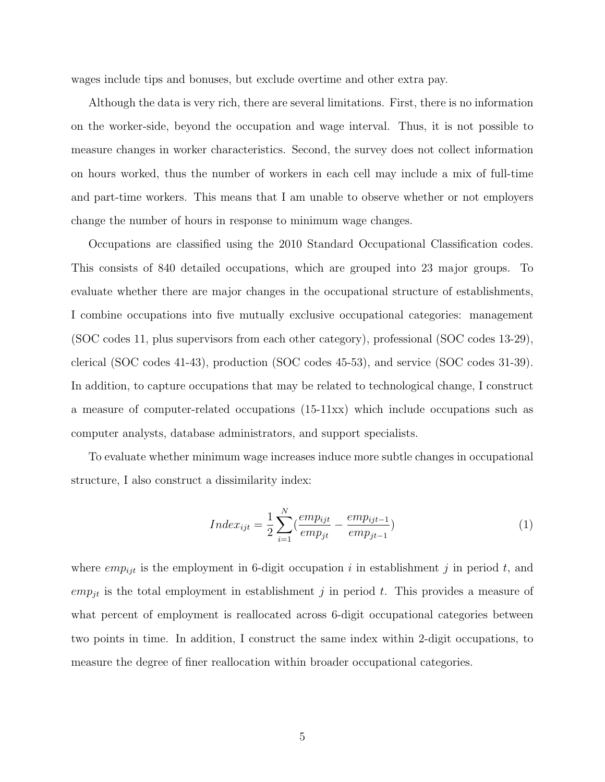wages include tips and bonuses, but exclude overtime and other extra pay.

Although the data is very rich, there are several limitations. First, there is no information on the worker-side, beyond the occupation and wage interval. Thus, it is not possible to measure changes in worker characteristics. Second, the survey does not collect information on hours worked, thus the number of workers in each cell may include a mix of full-time and part-time workers. This means that I am unable to observe whether or not employers change the number of hours in response to minimum wage changes.

Occupations are classified using the 2010 Standard Occupational Classification codes. This consists of 840 detailed occupations, which are grouped into 23 major groups. To evaluate whether there are major changes in the occupational structure of establishments, I combine occupations into five mutually exclusive occupational categories: management (SOC codes 11, plus supervisors from each other category), professional (SOC codes 13-29), clerical (SOC codes 41-43), production (SOC codes 45-53), and service (SOC codes 31-39). In addition, to capture occupations that may be related to technological change, I construct a measure of computer-related occupations (15-11xx) which include occupations such as computer analysts, database administrators, and support specialists.

To evaluate whether minimum wage increases induce more subtle changes in occupational structure, I also construct a dissimilarity index:

<span id="page-4-0"></span>
$$
Index_{ijt} = \frac{1}{2} \sum_{i=1}^{N} \left( \frac{emp_{ijt}}{emp_{jt}} - \frac{emp_{ijt-1}}{emp_{jt-1}} \right)
$$
 (1)

where  $emp_{ijt}$  is the employment in 6-digit occupation i in establishment j in period t, and  $emp_{it}$  is the total employment in establishment j in period t. This provides a measure of what percent of employment is reallocated across 6-digit occupational categories between two points in time. In addition, I construct the same index within 2-digit occupations, to measure the degree of finer reallocation within broader occupational categories.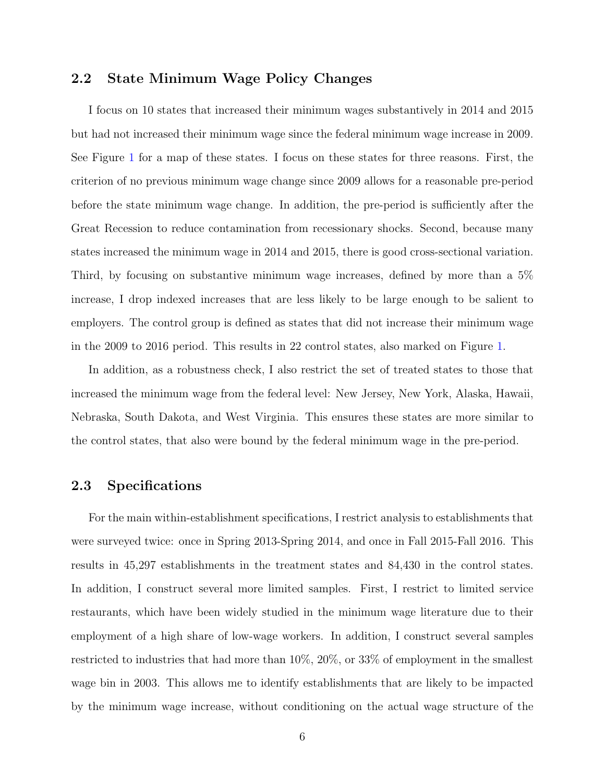### 2.2 State Minimum Wage Policy Changes

I focus on 10 states that increased their minimum wages substantively in 2014 and 2015 but had not increased their minimum wage since the federal minimum wage increase in 2009. See Figure [1](#page-19-1) for a map of these states. I focus on these states for three reasons. First, the criterion of no previous minimum wage change since 2009 allows for a reasonable pre-period before the state minimum wage change. In addition, the pre-period is sufficiently after the Great Recession to reduce contamination from recessionary shocks. Second, because many states increased the minimum wage in 2014 and 2015, there is good cross-sectional variation. Third, by focusing on substantive minimum wage increases, defined by more than a 5% increase, I drop indexed increases that are less likely to be large enough to be salient to employers. The control group is defined as states that did not increase their minimum wage in the 2009 to 2016 period. This results in 22 control states, also marked on Figure [1.](#page-19-1)

In addition, as a robustness check, I also restrict the set of treated states to those that increased the minimum wage from the federal level: New Jersey, New York, Alaska, Hawaii, Nebraska, South Dakota, and West Virginia. This ensures these states are more similar to the control states, that also were bound by the federal minimum wage in the pre-period.

### 2.3 Specifications

For the main within-establishment specifications, I restrict analysis to establishments that were surveyed twice: once in Spring 2013-Spring 2014, and once in Fall 2015-Fall 2016. This results in 45,297 establishments in the treatment states and 84,430 in the control states. In addition, I construct several more limited samples. First, I restrict to limited service restaurants, which have been widely studied in the minimum wage literature due to their employment of a high share of low-wage workers. In addition, I construct several samples restricted to industries that had more than 10%, 20%, or 33% of employment in the smallest wage bin in 2003. This allows me to identify establishments that are likely to be impacted by the minimum wage increase, without conditioning on the actual wage structure of the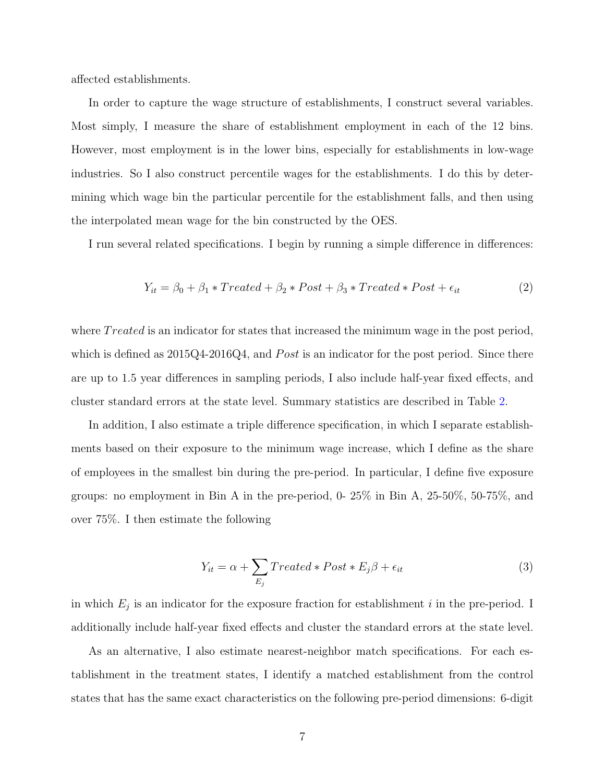affected establishments.

In order to capture the wage structure of establishments, I construct several variables. Most simply, I measure the share of establishment employment in each of the 12 bins. However, most employment is in the lower bins, especially for establishments in low-wage industries. So I also construct percentile wages for the establishments. I do this by determining which wage bin the particular percentile for the establishment falls, and then using the interpolated mean wage for the bin constructed by the OES.

I run several related specifications. I begin by running a simple difference in differences:

$$
Y_{it} = \beta_0 + \beta_1 * Treated + \beta_2 * Post + \beta_3 * Treated * Post + \epsilon_{it}
$$
\n(2)

where *Treated* is an indicator for states that increased the minimum wage in the post period, which is defined as  $2015Q4-2016Q4$ , and *Post* is an indicator for the post period. Since there are up to 1.5 year differences in sampling periods, I also include half-year fixed effects, and cluster standard errors at the state level. Summary statistics are described in Table [2.](#page-21-0)

In addition, I also estimate a triple difference specification, in which I separate establishments based on their exposure to the minimum wage increase, which I define as the share of employees in the smallest bin during the pre-period. In particular, I define five exposure groups: no employment in Bin A in the pre-period, 0- 25% in Bin A, 25-50%, 50-75%, and over 75%. I then estimate the following

$$
Y_{it} = \alpha + \sum_{E_j} Treated * Post * E_j \beta + \epsilon_{it}
$$
\n(3)

in which  $E_j$  is an indicator for the exposure fraction for establishment i in the pre-period. I additionally include half-year fixed effects and cluster the standard errors at the state level.

As an alternative, I also estimate nearest-neighbor match specifications. For each establishment in the treatment states, I identify a matched establishment from the control states that has the same exact characteristics on the following pre-period dimensions: 6-digit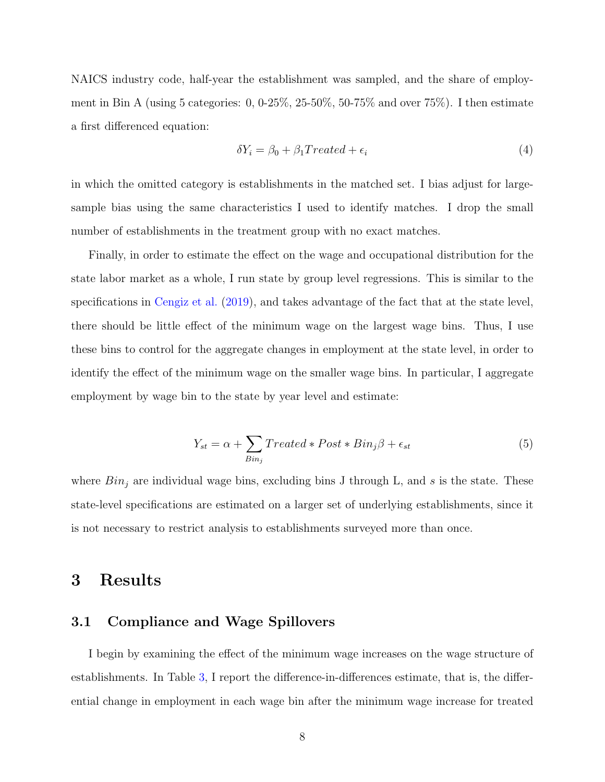NAICS industry code, half-year the establishment was sampled, and the share of employment in Bin A (using 5 categories:  $0, 0.25\%$ ,  $25-50\%$ ,  $50-75\%$  and over  $75\%$ ). I then estimate a first differenced equation:

$$
\delta Y_i = \beta_0 + \beta_1 Treated + \epsilon_i \tag{4}
$$

in which the omitted category is establishments in the matched set. I bias adjust for largesample bias using the same characteristics I used to identify matches. I drop the small number of establishments in the treatment group with no exact matches.

Finally, in order to estimate the effect on the wage and occupational distribution for the state labor market as a whole, I run state by group level regressions. This is similar to the specifications in [Cengiz et al.](#page-18-1) [\(2019\)](#page-18-1), and takes advantage of the fact that at the state level, there should be little effect of the minimum wage on the largest wage bins. Thus, I use these bins to control for the aggregate changes in employment at the state level, in order to identify the effect of the minimum wage on the smaller wage bins. In particular, I aggregate employment by wage bin to the state by year level and estimate:

<span id="page-7-0"></span>
$$
Y_{st} = \alpha + \sum_{Bin_j} Treated * Post * Bin_j\beta + \epsilon_{st}
$$
 (5)

where  $Bin_i$  are individual wage bins, excluding bins J through L, and s is the state. These state-level specifications are estimated on a larger set of underlying establishments, since it is not necessary to restrict analysis to establishments surveyed more than once.

## 3 Results

#### 3.1 Compliance and Wage Spillovers

I begin by examining the effect of the minimum wage increases on the wage structure of establishments. In Table [3,](#page-22-0) I report the difference-in-differences estimate, that is, the differential change in employment in each wage bin after the minimum wage increase for treated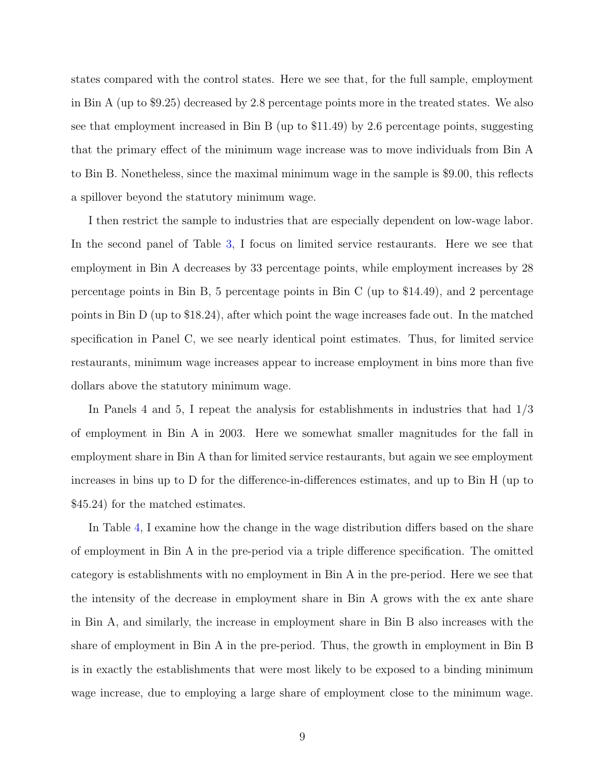states compared with the control states. Here we see that, for the full sample, employment in Bin A (up to \$9.25) decreased by 2.8 percentage points more in the treated states. We also see that employment increased in Bin B (up to \$11.49) by 2.6 percentage points, suggesting that the primary effect of the minimum wage increase was to move individuals from Bin A to Bin B. Nonetheless, since the maximal minimum wage in the sample is \$9.00, this reflects a spillover beyond the statutory minimum wage.

I then restrict the sample to industries that are especially dependent on low-wage labor. In the second panel of Table [3,](#page-22-0) I focus on limited service restaurants. Here we see that employment in Bin A decreases by 33 percentage points, while employment increases by 28 percentage points in Bin B, 5 percentage points in Bin C (up to \$14.49), and 2 percentage points in Bin D (up to \$18.24), after which point the wage increases fade out. In the matched specification in Panel C, we see nearly identical point estimates. Thus, for limited service restaurants, minimum wage increases appear to increase employment in bins more than five dollars above the statutory minimum wage.

In Panels 4 and 5, I repeat the analysis for establishments in industries that had 1/3 of employment in Bin A in 2003. Here we somewhat smaller magnitudes for the fall in employment share in Bin A than for limited service restaurants, but again we see employment increases in bins up to D for the difference-in-differences estimates, and up to Bin H (up to \$45.24) for the matched estimates.

In Table [4,](#page-23-0) I examine how the change in the wage distribution differs based on the share of employment in Bin A in the pre-period via a triple difference specification. The omitted category is establishments with no employment in Bin A in the pre-period. Here we see that the intensity of the decrease in employment share in Bin A grows with the ex ante share in Bin A, and similarly, the increase in employment share in Bin B also increases with the share of employment in Bin A in the pre-period. Thus, the growth in employment in Bin B is in exactly the establishments that were most likely to be exposed to a binding minimum wage increase, due to employing a large share of employment close to the minimum wage.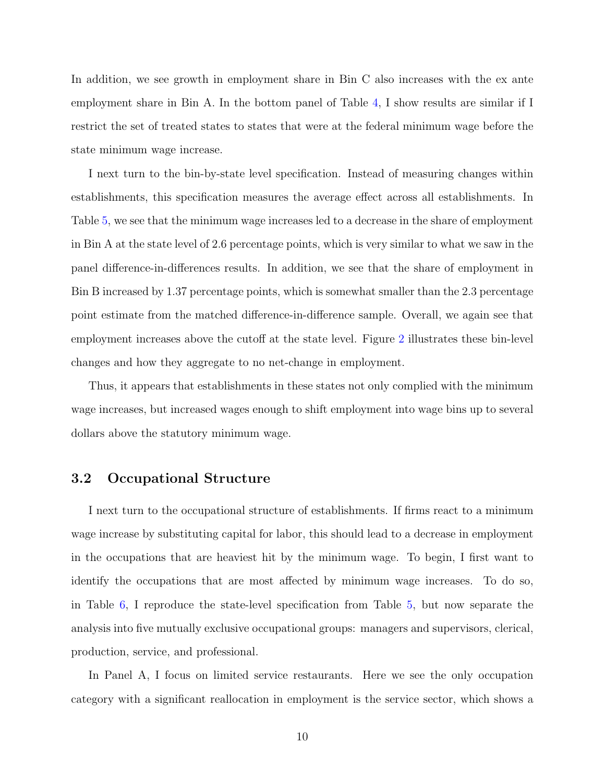In addition, we see growth in employment share in Bin C also increases with the ex ante employment share in Bin A. In the bottom panel of Table [4,](#page-23-0) I show results are similar if I restrict the set of treated states to states that were at the federal minimum wage before the state minimum wage increase.

I next turn to the bin-by-state level specification. Instead of measuring changes within establishments, this specification measures the average effect across all establishments. In Table [5,](#page-24-0) we see that the minimum wage increases led to a decrease in the share of employment in Bin A at the state level of 2.6 percentage points, which is very similar to what we saw in the panel difference-in-differences results. In addition, we see that the share of employment in Bin B increased by 1.37 percentage points, which is somewhat smaller than the 2.3 percentage point estimate from the matched difference-in-difference sample. Overall, we again see that employment increases above the cutoff at the state level. Figure [2](#page-20-0) illustrates these bin-level changes and how they aggregate to no net-change in employment.

Thus, it appears that establishments in these states not only complied with the minimum wage increases, but increased wages enough to shift employment into wage bins up to several dollars above the statutory minimum wage.

### 3.2 Occupational Structure

I next turn to the occupational structure of establishments. If firms react to a minimum wage increase by substituting capital for labor, this should lead to a decrease in employment in the occupations that are heaviest hit by the minimum wage. To begin, I first want to identify the occupations that are most affected by minimum wage increases. To do so, in Table [6,](#page-25-0) I reproduce the state-level specification from Table [5,](#page-24-0) but now separate the analysis into five mutually exclusive occupational groups: managers and supervisors, clerical, production, service, and professional.

In Panel A, I focus on limited service restaurants. Here we see the only occupation category with a significant reallocation in employment is the service sector, which shows a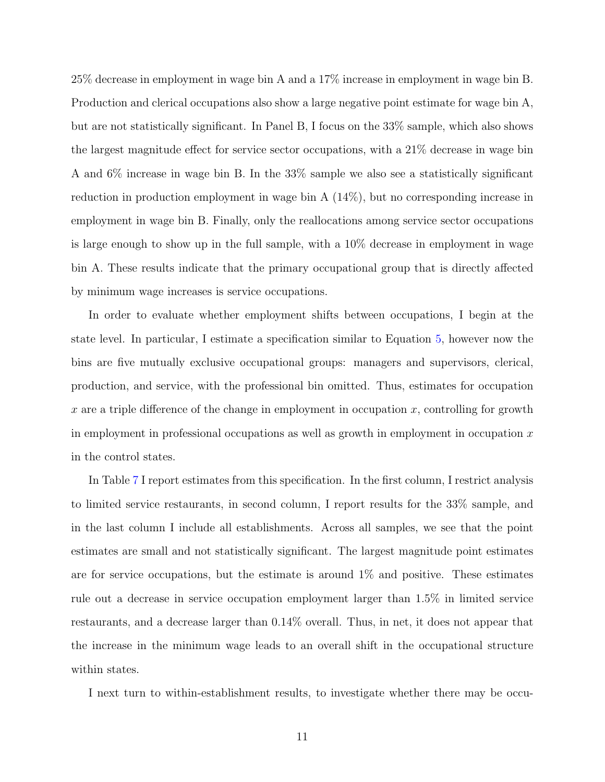25% decrease in employment in wage bin A and a 17% increase in employment in wage bin B. Production and clerical occupations also show a large negative point estimate for wage bin A, but are not statistically significant. In Panel B, I focus on the 33% sample, which also shows the largest magnitude effect for service sector occupations, with a 21% decrease in wage bin A and 6% increase in wage bin B. In the 33% sample we also see a statistically significant reduction in production employment in wage bin A (14%), but no corresponding increase in employment in wage bin B. Finally, only the reallocations among service sector occupations is large enough to show up in the full sample, with a 10% decrease in employment in wage bin A. These results indicate that the primary occupational group that is directly affected by minimum wage increases is service occupations.

In order to evaluate whether employment shifts between occupations, I begin at the state level. In particular, I estimate a specification similar to Equation [5,](#page-7-0) however now the bins are five mutually exclusive occupational groups: managers and supervisors, clerical, production, and service, with the professional bin omitted. Thus, estimates for occupation x are a triple difference of the change in employment in occupation x, controlling for growth in employment in professional occupations as well as growth in employment in occupation  $x$ in the control states.

In Table [7](#page-26-0) I report estimates from this specification. In the first column, I restrict analysis to limited service restaurants, in second column, I report results for the 33% sample, and in the last column I include all establishments. Across all samples, we see that the point estimates are small and not statistically significant. The largest magnitude point estimates are for service occupations, but the estimate is around  $1\%$  and positive. These estimates rule out a decrease in service occupation employment larger than 1.5% in limited service restaurants, and a decrease larger than 0.14% overall. Thus, in net, it does not appear that the increase in the minimum wage leads to an overall shift in the occupational structure within states.

I next turn to within-establishment results, to investigate whether there may be occu-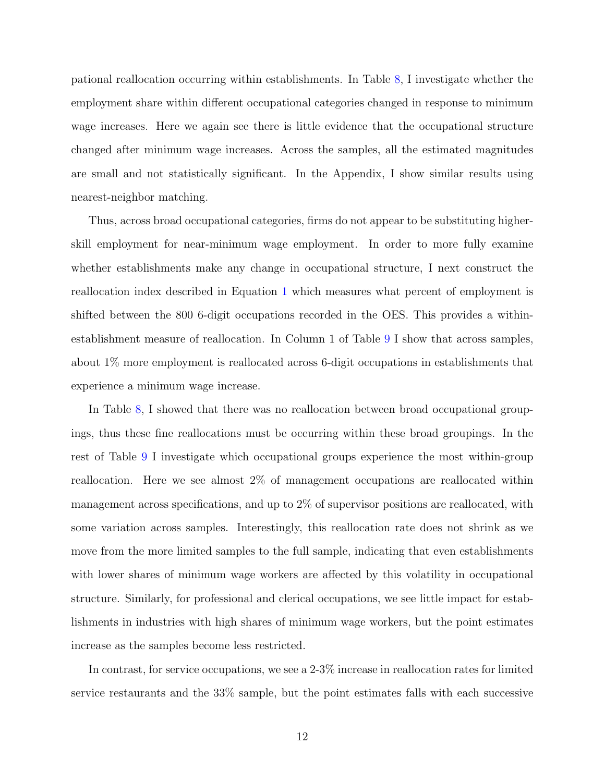pational reallocation occurring within establishments. In Table [8,](#page-26-1) I investigate whether the employment share within different occupational categories changed in response to minimum wage increases. Here we again see there is little evidence that the occupational structure changed after minimum wage increases. Across the samples, all the estimated magnitudes are small and not statistically significant. In the Appendix, I show similar results using nearest-neighbor matching.

Thus, across broad occupational categories, firms do not appear to be substituting higherskill employment for near-minimum wage employment. In order to more fully examine whether establishments make any change in occupational structure, I next construct the reallocation index described in Equation [1](#page-4-0) which measures what percent of employment is shifted between the 800 6-digit occupations recorded in the OES. This provides a withinestablishment measure of reallocation. In Column 1 of Table [9](#page-27-0) I show that across samples, about 1% more employment is reallocated across 6-digit occupations in establishments that experience a minimum wage increase.

In Table [8,](#page-26-1) I showed that there was no reallocation between broad occupational groupings, thus these fine reallocations must be occurring within these broad groupings. In the rest of Table [9](#page-27-0) I investigate which occupational groups experience the most within-group reallocation. Here we see almost 2% of management occupations are reallocated within management across specifications, and up to 2% of supervisor positions are reallocated, with some variation across samples. Interestingly, this reallocation rate does not shrink as we move from the more limited samples to the full sample, indicating that even establishments with lower shares of minimum wage workers are affected by this volatility in occupational structure. Similarly, for professional and clerical occupations, we see little impact for establishments in industries with high shares of minimum wage workers, but the point estimates increase as the samples become less restricted.

In contrast, for service occupations, we see a 2-3% increase in reallocation rates for limited service restaurants and the 33% sample, but the point estimates falls with each successive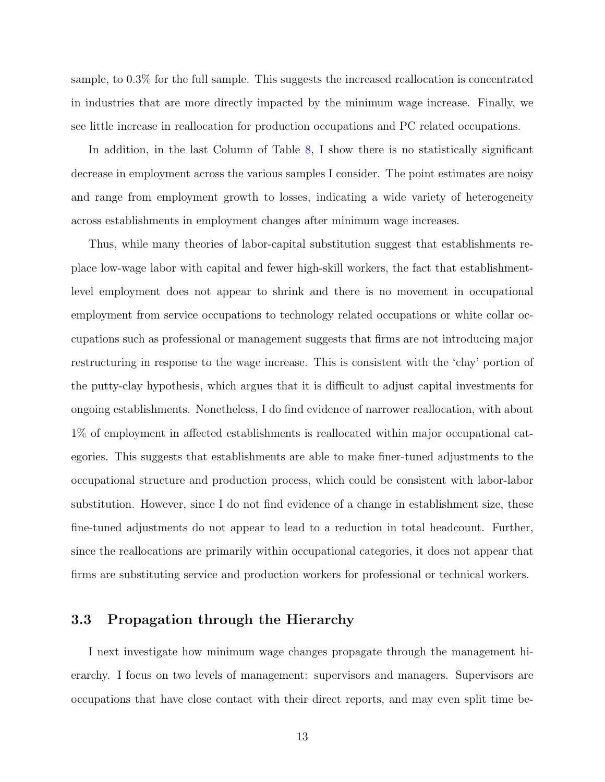sample, to 0.3% for the full sample. This suggests the increased reallocation is concentrated in industries that are more directly impacted by the minimum wage increase. Finally, we see little increase in reallocation for production occupations and PC related occupations.

In addition, in the last Column of Table [8,](#page-26-1) I show there is no statistically significant decrease in employment across the various samples I consider. The point estimates are noisy and range from employment growth to losses, indicating a wide variety of heterogeneity across establishments in employment changes after minimum wage increases.

Thus, while many theories of labor-capital substitution suggest that establishments replace low-wage labor with capital and fewer high-skill workers, the fact that establishmentlevel employment does not appear to shrink and there is no movement in occupational employment from service occupations to technology related occupations or white collar occupations such as professional or management suggests that firms are not introducing major restructuring in response to the wage increase. This is consistent with the 'clay' portion of the putty-clay hypothesis, which argues that it is difficult to adjust capital investments for ongoing establishments. Nonetheless, I do find evidence of narrower reallocation, with about 1% of employment in affected establishments is reallocated within major occupational categories. This suggests that establishments are able to make finer-tuned adjustments to the occupational structure and production process, which could be consistent with labor-labor substitution. However, since I do not find evidence of a change in establishment size, these fine-tuned adjustments do not appear to lead to a reduction in total headcount. Further, since the reallocations are primarily within occupational categories, it does not appear that firms are substituting service and production workers for professional or technical workers.

#### 3.3 Propagation through the Hierarchy

I next investigate how minimum wage changes propagate through the management hierarchy. I focus on two levels of management: supervisors and managers. Supervisors are occupations that have close contact with their direct reports, and may even split time be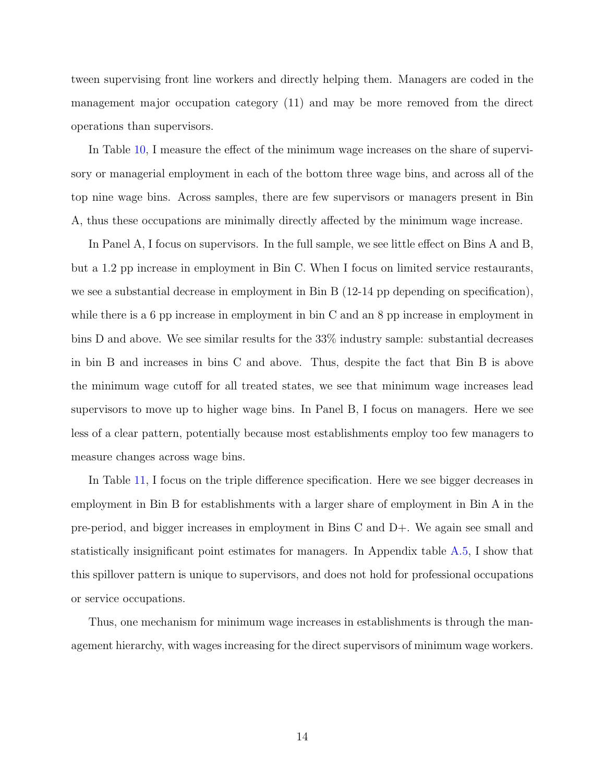tween supervising front line workers and directly helping them. Managers are coded in the management major occupation category (11) and may be more removed from the direct operations than supervisors.

In Table [10,](#page-28-0) I measure the effect of the minimum wage increases on the share of supervisory or managerial employment in each of the bottom three wage bins, and across all of the top nine wage bins. Across samples, there are few supervisors or managers present in Bin A, thus these occupations are minimally directly affected by the minimum wage increase.

In Panel A, I focus on supervisors. In the full sample, we see little effect on Bins A and B, but a 1.2 pp increase in employment in Bin C. When I focus on limited service restaurants, we see a substantial decrease in employment in Bin B (12-14 pp depending on specification), while there is a 6 pp increase in employment in bin C and an 8 pp increase in employment in bins D and above. We see similar results for the 33% industry sample: substantial decreases in bin B and increases in bins C and above. Thus, despite the fact that Bin B is above the minimum wage cutoff for all treated states, we see that minimum wage increases lead supervisors to move up to higher wage bins. In Panel B, I focus on managers. Here we see less of a clear pattern, potentially because most establishments employ too few managers to measure changes across wage bins.

In Table [11,](#page-29-0) I focus on the triple difference specification. Here we see bigger decreases in employment in Bin B for establishments with a larger share of employment in Bin A in the pre-period, and bigger increases in employment in Bins C and D+. We again see small and statistically insignificant point estimates for managers. In Appendix table [A.5,](#page-37-0) I show that this spillover pattern is unique to supervisors, and does not hold for professional occupations or service occupations.

Thus, one mechanism for minimum wage increases in establishments is through the management hierarchy, with wages increasing for the direct supervisors of minimum wage workers.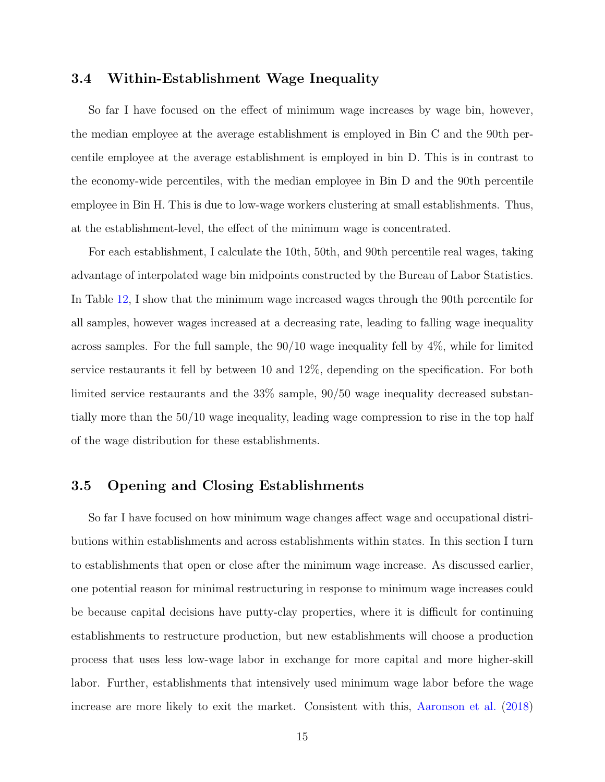### 3.4 Within-Establishment Wage Inequality

So far I have focused on the effect of minimum wage increases by wage bin, however, the median employee at the average establishment is employed in Bin C and the 90th percentile employee at the average establishment is employed in bin D. This is in contrast to the economy-wide percentiles, with the median employee in Bin D and the 90th percentile employee in Bin H. This is due to low-wage workers clustering at small establishments. Thus, at the establishment-level, the effect of the minimum wage is concentrated.

For each establishment, I calculate the 10th, 50th, and 90th percentile real wages, taking advantage of interpolated wage bin midpoints constructed by the Bureau of Labor Statistics. In Table [12,](#page-30-0) I show that the minimum wage increased wages through the 90th percentile for all samples, however wages increased at a decreasing rate, leading to falling wage inequality across samples. For the full sample, the 90/10 wage inequality fell by 4%, while for limited service restaurants it fell by between 10 and 12%, depending on the specification. For both limited service restaurants and the 33% sample, 90/50 wage inequality decreased substantially more than the 50/10 wage inequality, leading wage compression to rise in the top half of the wage distribution for these establishments.

### 3.5 Opening and Closing Establishments

So far I have focused on how minimum wage changes affect wage and occupational distributions within establishments and across establishments within states. In this section I turn to establishments that open or close after the minimum wage increase. As discussed earlier, one potential reason for minimal restructuring in response to minimum wage increases could be because capital decisions have putty-clay properties, where it is difficult for continuing establishments to restructure production, but new establishments will choose a production process that uses less low-wage labor in exchange for more capital and more higher-skill labor. Further, establishments that intensively used minimum wage labor before the wage increase are more likely to exit the market. Consistent with this, [Aaronson et al.](#page-18-7) [\(2018\)](#page-18-7)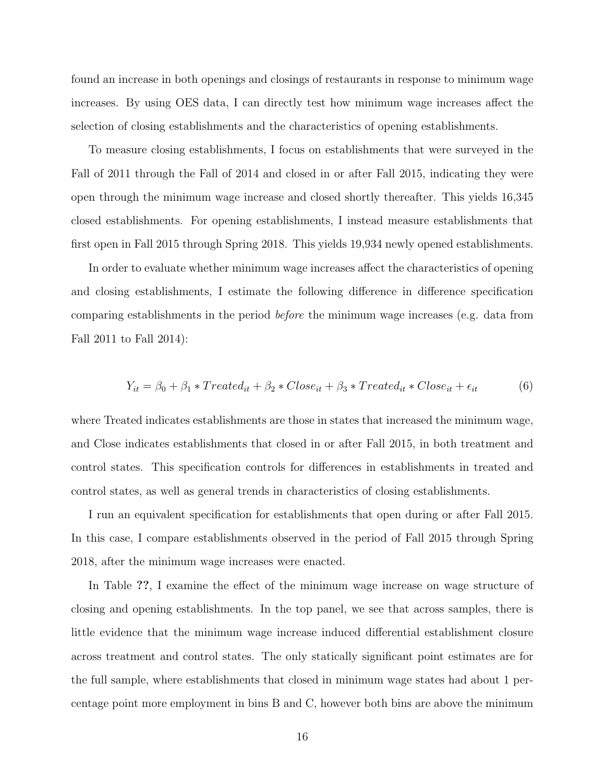found an increase in both openings and closings of restaurants in response to minimum wage increases. By using OES data, I can directly test how minimum wage increases affect the selection of closing establishments and the characteristics of opening establishments.

To measure closing establishments, I focus on establishments that were surveyed in the Fall of 2011 through the Fall of 2014 and closed in or after Fall 2015, indicating they were open through the minimum wage increase and closed shortly thereafter. This yields 16,345 closed establishments. For opening establishments, I instead measure establishments that first open in Fall 2015 through Spring 2018. This yields 19,934 newly opened establishments.

In order to evaluate whether minimum wage increases affect the characteristics of opening and closing establishments, I estimate the following difference in difference specification comparing establishments in the period before the minimum wage increases (e.g. data from Fall 2011 to Fall 2014):

$$
Y_{it} = \beta_0 + \beta_1 * Treated_{it} + \beta_2 * Close_{it} + \beta_3 * Treated_{it} * Close_{it} + \epsilon_{it}
$$
(6)

where Treated indicates establishments are those in states that increased the minimum wage, and Close indicates establishments that closed in or after Fall 2015, in both treatment and control states. This specification controls for differences in establishments in treated and control states, as well as general trends in characteristics of closing establishments.

I run an equivalent specification for establishments that open during or after Fall 2015. In this case, I compare establishments observed in the period of Fall 2015 through Spring 2018, after the minimum wage increases were enacted.

In Table ??, I examine the effect of the minimum wage increase on wage structure of closing and opening establishments. In the top panel, we see that across samples, there is little evidence that the minimum wage increase induced differential establishment closure across treatment and control states. The only statically significant point estimates are for the full sample, where establishments that closed in minimum wage states had about 1 percentage point more employment in bins B and C, however both bins are above the minimum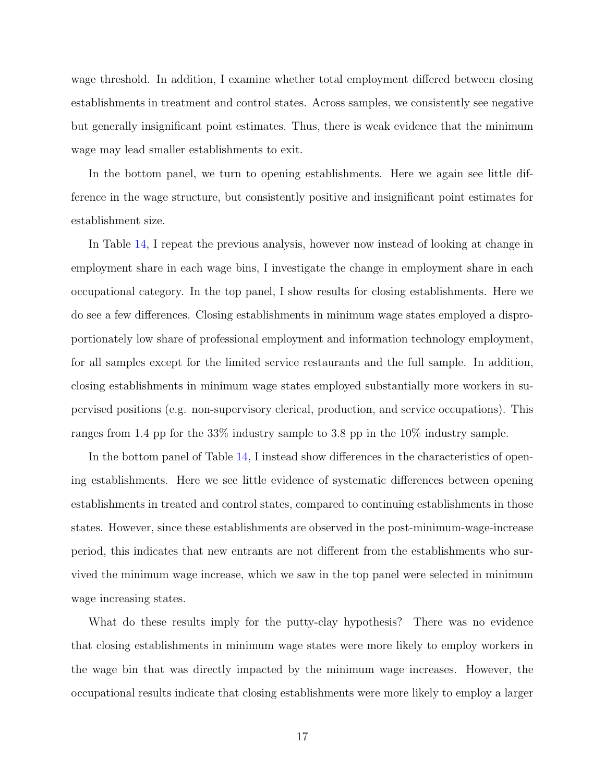wage threshold. In addition, I examine whether total employment differed between closing establishments in treatment and control states. Across samples, we consistently see negative but generally insignificant point estimates. Thus, there is weak evidence that the minimum wage may lead smaller establishments to exit.

In the bottom panel, we turn to opening establishments. Here we again see little difference in the wage structure, but consistently positive and insignificant point estimates for establishment size.

In Table [14,](#page-32-0) I repeat the previous analysis, however now instead of looking at change in employment share in each wage bins, I investigate the change in employment share in each occupational category. In the top panel, I show results for closing establishments. Here we do see a few differences. Closing establishments in minimum wage states employed a disproportionately low share of professional employment and information technology employment, for all samples except for the limited service restaurants and the full sample. In addition, closing establishments in minimum wage states employed substantially more workers in supervised positions (e.g. non-supervisory clerical, production, and service occupations). This ranges from 1.4 pp for the 33% industry sample to 3.8 pp in the 10% industry sample.

In the bottom panel of Table [14,](#page-32-0) I instead show differences in the characteristics of opening establishments. Here we see little evidence of systematic differences between opening establishments in treated and control states, compared to continuing establishments in those states. However, since these establishments are observed in the post-minimum-wage-increase period, this indicates that new entrants are not different from the establishments who survived the minimum wage increase, which we saw in the top panel were selected in minimum wage increasing states.

What do these results imply for the putty-clay hypothesis? There was no evidence that closing establishments in minimum wage states were more likely to employ workers in the wage bin that was directly impacted by the minimum wage increases. However, the occupational results indicate that closing establishments were more likely to employ a larger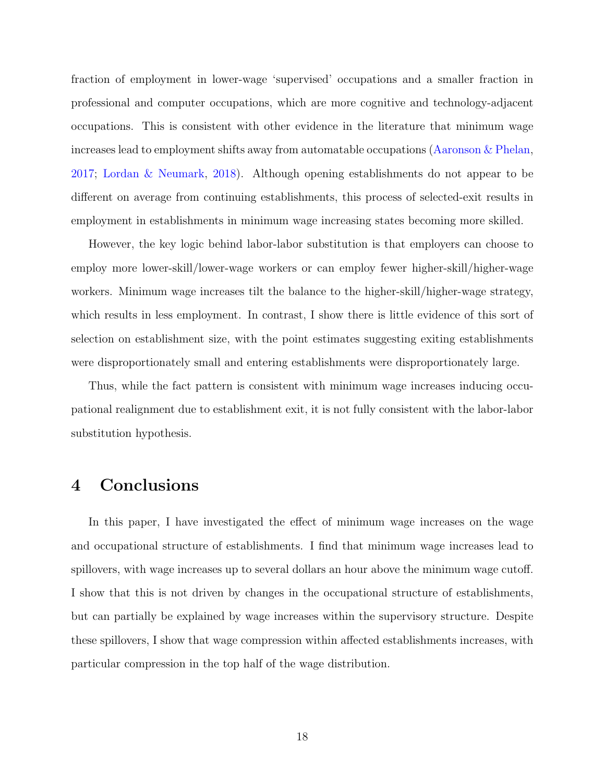fraction of employment in lower-wage 'supervised' occupations and a smaller fraction in professional and computer occupations, which are more cognitive and technology-adjacent occupations. This is consistent with other evidence in the literature that minimum wage increases lead to employment shifts away from automatable occupations [\(Aaronson & Phelan,](#page-18-4) [2017;](#page-18-4) [Lordan & Neumark,](#page-18-5) [2018\)](#page-18-5). Although opening establishments do not appear to be different on average from continuing establishments, this process of selected-exit results in employment in establishments in minimum wage increasing states becoming more skilled.

However, the key logic behind labor-labor substitution is that employers can choose to employ more lower-skill/lower-wage workers or can employ fewer higher-skill/higher-wage workers. Minimum wage increases tilt the balance to the higher-skill/higher-wage strategy, which results in less employment. In contrast, I show there is little evidence of this sort of selection on establishment size, with the point estimates suggesting exiting establishments were disproportionately small and entering establishments were disproportionately large.

Thus, while the fact pattern is consistent with minimum wage increases inducing occupational realignment due to establishment exit, it is not fully consistent with the labor-labor substitution hypothesis.

# 4 Conclusions

In this paper, I have investigated the effect of minimum wage increases on the wage and occupational structure of establishments. I find that minimum wage increases lead to spillovers, with wage increases up to several dollars an hour above the minimum wage cutoff. I show that this is not driven by changes in the occupational structure of establishments, but can partially be explained by wage increases within the supervisory structure. Despite these spillovers, I show that wage compression within affected establishments increases, with particular compression in the top half of the wage distribution.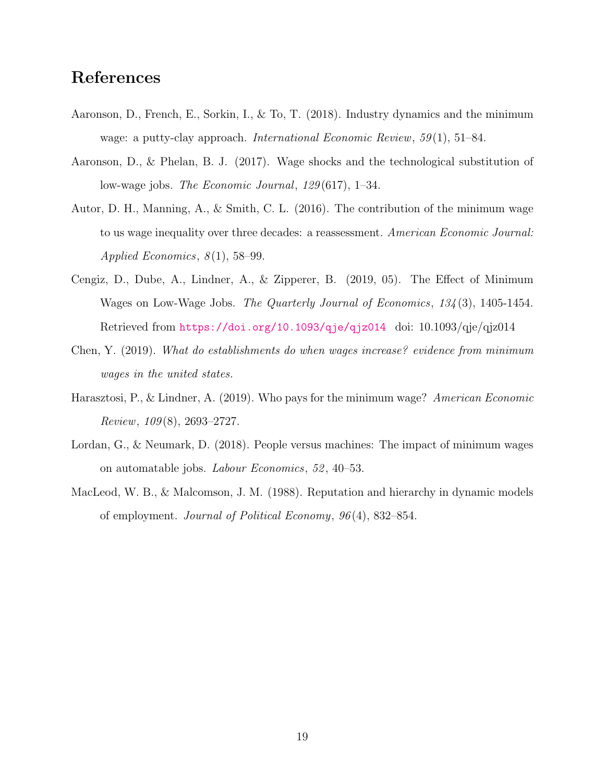# References

- <span id="page-18-7"></span>Aaronson, D., French, E., Sorkin, I., & To, T. (2018). Industry dynamics and the minimum wage: a putty-clay approach. *International Economic Review*,  $59(1)$ ,  $51-84$ .
- <span id="page-18-4"></span>Aaronson, D., & Phelan, B. J. (2017). Wage shocks and the technological substitution of low-wage jobs. The Economic Journal, 129 (617), 1–34.
- <span id="page-18-0"></span>Autor, D. H., Manning, A., & Smith, C. L. (2016). The contribution of the minimum wage to us wage inequality over three decades: a reassessment. American Economic Journal: Applied Economics,  $8(1)$ , 58-99.
- <span id="page-18-1"></span>Cengiz, D., Dube, A., Lindner, A., & Zipperer, B. (2019, 05). The Effect of Minimum Wages on Low-Wage Jobs. The Quarterly Journal of Economics, 134 (3), 1405-1454. Retrieved from <https://doi.org/10.1093/qje/qjz014> doi: 10.1093/qje/qjz014
- <span id="page-18-3"></span>Chen, Y. (2019). What do establishments do when wages increase? evidence from minimum wages in the united states.
- <span id="page-18-2"></span>Harasztosi, P., & Lindner, A. (2019). Who pays for the minimum wage? American Economic  $Review, 109(8), 2693-2727.$
- <span id="page-18-5"></span>Lordan, G., & Neumark, D. (2018). People versus machines: The impact of minimum wages on automatable jobs. Labour Economics, 52 , 40–53.
- <span id="page-18-6"></span>MacLeod, W. B., & Malcomson, J. M. (1988). Reputation and hierarchy in dynamic models of employment. Journal of Political Economy, 96 (4), 832–854.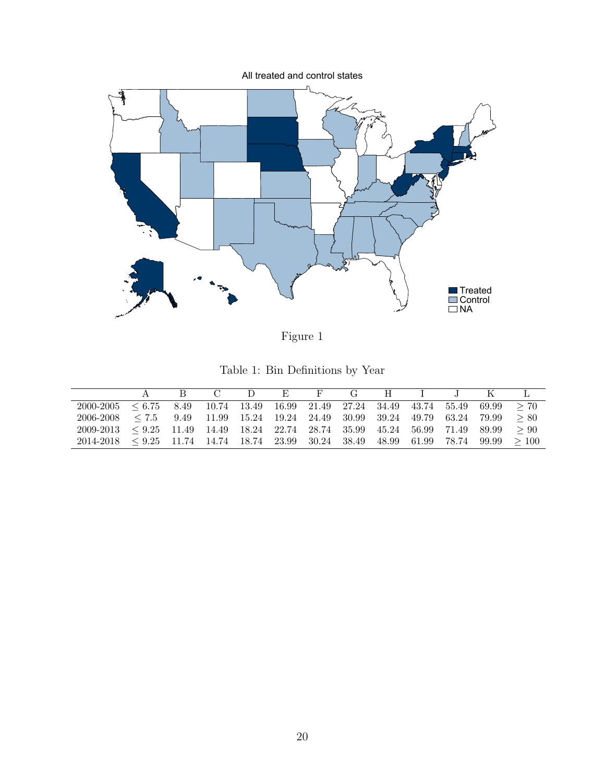<span id="page-19-1"></span>

Figure 1

Table 1: Bin Definitions by Year

<span id="page-19-0"></span>

|                                                                                              |  |  |  |  |  | R C D E F G H I J K L |  |
|----------------------------------------------------------------------------------------------|--|--|--|--|--|-----------------------|--|
| $2000-2005 \leq 6.75$ 8.49 10.74 13.49 16.99 21.49 27.24 34.49 43.74 55.49 69.99 > 70        |  |  |  |  |  |                       |  |
| $2006-2008 \le 7.5$ 9.49 11.99 15.24 19.24 24.49 30.99 39.24 49.79 63.24 79.99 $\ge 80$      |  |  |  |  |  |                       |  |
| $2009-2013 \leq 9.25$ 11.49 14.49 18.24 22.74 28.74 35.99 45.24 56.99 71.49 89.99 $\geq 90$  |  |  |  |  |  |                       |  |
| $2014-2018 \leq 9.25$ 11.74 14.74 18.74 23.99 30.24 38.49 48.99 61.99 78.74 99.99 $\geq 100$ |  |  |  |  |  |                       |  |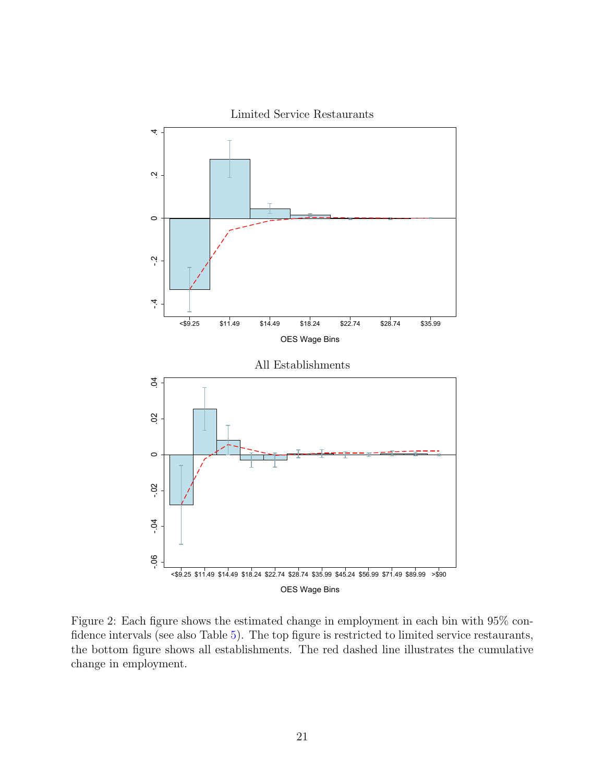<span id="page-20-0"></span>

Figure 2: Each figure shows the estimated change in employment in each bin with 95% confidence intervals (see also Table [5\)](#page-24-0). The top figure is restricted to limited service restaurants, the bottom figure shows all establishments. The red dashed line illustrates the cumulative change in employment.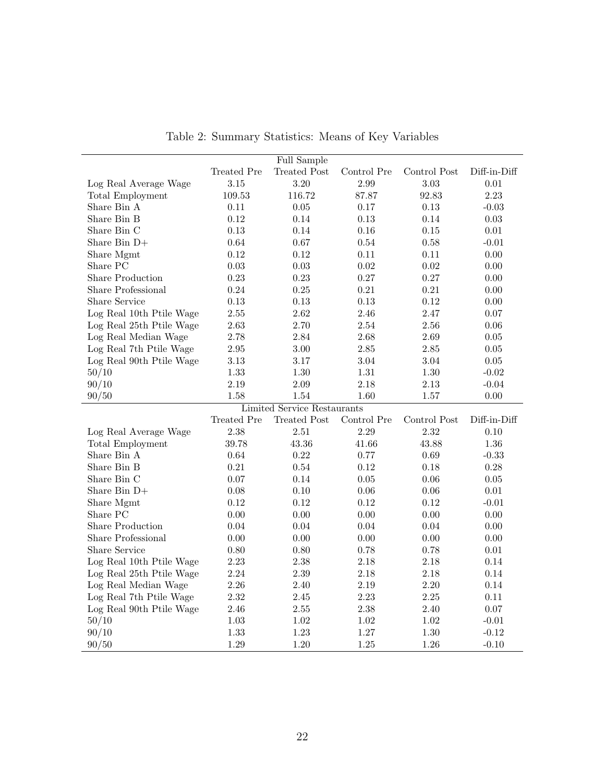<span id="page-21-0"></span>

|                          |                   | Full Sample                        |                  |              |                    |
|--------------------------|-------------------|------------------------------------|------------------|--------------|--------------------|
|                          | Treated Pre       | <b>Treated Post</b>                | Control Pre      | Control Post | Diff-in-Diff       |
| Log Real Average Wage    | 3.15              | 3.20                               | 2.99             | 3.03         | 0.01               |
| Total Employment         | 109.53            | 116.72                             | 87.87            | 92.83        | 2.23               |
| Share Bin A              | 0.11              | 0.05                               | 0.17             | 0.13         | $-0.03$            |
| Share Bin B              | 0.12              | 0.14                               | 0.13             | 0.14         | 0.03               |
| Share Bin C              | $0.13\,$          | 0.14                               | 0.16             | $0.15\,$     | $0.01\,$           |
| Share Bin $D+$           | 0.64              | 0.67                               | 0.54             | 0.58         | $-0.01$            |
| Share Mgmt               | 0.12              | 0.12                               | 0.11             | 0.11         | $0.00\,$           |
| Share PC                 | 0.03              | 0.03                               | 0.02             | 0.02         | 0.00               |
| <b>Share Production</b>  | 0.23              | 0.23                               | 0.27             | $0.27\,$     | $0.00\,$           |
| Share Professional       | 0.24              | 0.25                               | 0.21             | 0.21         | $0.00\,$           |
| Share Service            | 0.13              | 0.13                               | 0.13             | 0.12         | 0.00               |
| Log Real 10th Ptile Wage | $2.55\,$          | 2.62                               | 2.46             | 2.47         | $0.07\,$           |
| Log Real 25th Ptile Wage | 2.63              | 2.70                               | 2.54             | 2.56         | 0.06               |
| Log Real Median Wage     | 2.78              | 2.84                               | 2.68             | 2.69         | $0.05\,$           |
| Log Real 7th Ptile Wage  | $\phantom{-}2.95$ | $3.00\,$                           | $2.85\,$         | $2.85\,$     | $0.05\,$           |
| Log Real 90th Ptile Wage | 3.13              | 3.17                               | 3.04             | 3.04         | $0.05\,$           |
| 50/10                    | 1.33              | 1.30                               | 1.31             | $1.30\,$     | $-0.02$            |
| 90/10                    | 2.19              | 2.09                               | 2.18             | 2.13         | $-0.04$            |
| 90/50                    | 1.58              | 1.54                               | 1.60             | 1.57         | 0.00               |
|                          |                   | <b>Limited Service Restaurants</b> |                  |              |                    |
|                          |                   |                                    |                  |              |                    |
|                          | Treated Pre       | <b>Treated Post</b>                | Control Pre      | Control Post | Diff-in-Diff       |
| Log Real Average Wage    | 2.38              | $2.51\,$                           | 2.29             | $2.32\,$     | $0.10\,$           |
| Total Employment         | 39.78             | $43.36\,$                          | 41.66            | 43.88        | $1.36\,$           |
| Share Bin A              | 0.64              | 0.22                               | 0.77             | 0.69         | $-0.33$            |
| Share Bin B              | 0.21              | 0.54                               | 0.12             | 0.18         | 0.28               |
| Share Bin C              | 0.07              | 0.14                               | 0.05             | $0.06\,$     | $0.05\,$           |
| Share Bin $D+$           | 0.08              | 0.10                               | 0.06             | $0.06\,$     | 0.01               |
| Share Mgmt               | 0.12              | 0.12                               | 0.12             | $0.12\,$     | $-0.01$            |
| Share PC                 | 0.00              | 0.00                               | 0.00             | 0.00         | 0.00               |
| <b>Share Production</b>  | 0.04              | 0.04                               | 0.04             | 0.04         | 0.00               |
| Share Professional       | 0.00              | $0.00\,$                           | 0.00             | $0.00\,$     | 0.00               |
| Share Service            | 0.80              | 0.80                               | 0.78             | 0.78         | 0.01               |
| Log Real 10th Ptile Wage | 2.23              | 2.38                               | $2.18\,$         | 2.18         | 0.14               |
| Log Real 25th Ptile Wage | 2.24              | 2.39                               | 2.18             | 2.18         | 0.14               |
| Log Real Median Wage     | 2.26              | 2.40                               | 2.19             | $2.20\,$     | 0.14               |
| Log Real 7th Ptile Wage  | 2.32              | 2.45                               | 2.23             | 2.25         | 0.11               |
| Log Real 90th Ptile Wage | 2.46              | $2.55\,$                           | 2.38             | 2.40         | $0.07\,$           |
| 50/10                    | $1.03\,$          | $1.02\,$                           | $1.02\,$         | $1.02\,$     | $-0.01$            |
| 90/10<br>90/50           | 1.33<br>1.29      | 1.23<br>1.20                       | $1.27\,$<br>1.25 | 1.30<br>1.26 | $-0.12$<br>$-0.10$ |

Table 2: Summary Statistics: Means of Key Variables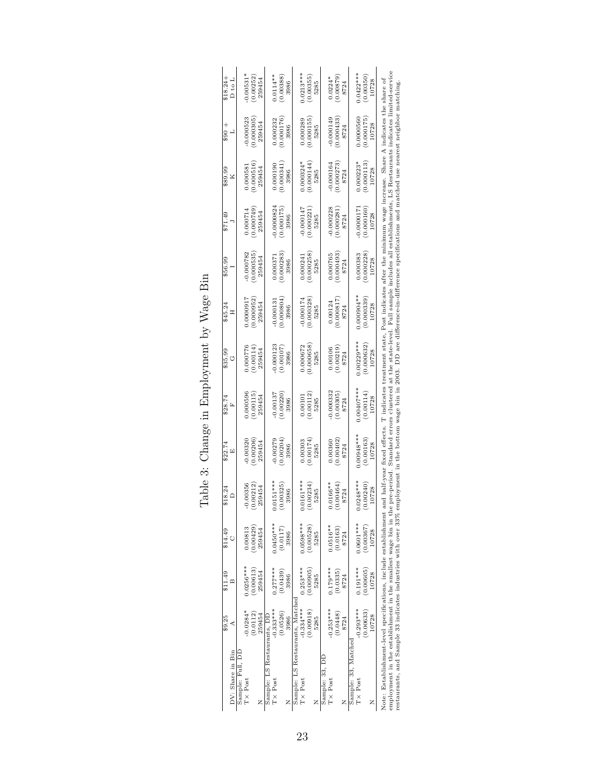<span id="page-22-0"></span>

| DV: Share in Bin                                                                                                                                                                                                                                                            | \$9.25<br>₫ | \$11.49<br>$\mathbf{m}$ | \$14.49     | \$18.24     | \$22.74<br>囜 | \$28.74<br>Ĺ | \$35.99<br>Ü                                                                                                                                | \$45.24<br>Ξ | \$56.99    | \$71.49      | \$89.99<br>× | $+003$     | $$18.24+$<br>D to L |
|-----------------------------------------------------------------------------------------------------------------------------------------------------------------------------------------------------------------------------------------------------------------------------|-------------|-------------------------|-------------|-------------|--------------|--------------|---------------------------------------------------------------------------------------------------------------------------------------------|--------------|------------|--------------|--------------|------------|---------------------|
| Sample: Full, DI                                                                                                                                                                                                                                                            |             |                         |             |             |              |              |                                                                                                                                             |              |            |              |              |            |                     |
| $TX$ Post                                                                                                                                                                                                                                                                   | $-0.0284*$  | $0.0256***$             | 0.00813     | 0.00356     | 0.00320      | 0.000596     | 0.000776                                                                                                                                    | 1.00000.7    | 0.000782   | 0.000714     | 0.000581     | 0.000523   | $0.00531*$          |
|                                                                                                                                                                                                                                                                             | (0.0112)    | (0.00613)               | (0.00429)   | 0.00212     | (0.00206)    | (0.00115)    | (0.00114                                                                                                                                    | (0.000952)   | 0.000535   | 0.000749     | (0.000516)   | (0.000305) | (0.00252)           |
|                                                                                                                                                                                                                                                                             | 259454      | 259454                  | 259454      | 259454      | 259454       | 259454       | 259454                                                                                                                                      | 259454       | 259454     | 259454       | 259454       | 259454     | 259454              |
| Sample: LS Restaurants, DL                                                                                                                                                                                                                                                  |             |                         |             |             |              |              |                                                                                                                                             |              |            |              |              |            |                     |
| $TX$ Post                                                                                                                                                                                                                                                                   | $-0.333***$ | $0.277***$              | $0.0450***$ | $0151***$   | 0.00279      | 0.00137      | 0.000123                                                                                                                                    | 0.000131     | 0.00037    | 0.0000824    | 0.000190     | 0.000232   | $0.0114***$         |
|                                                                                                                                                                                                                                                                             | (0.0526)    | (0.0439)                | (0.0117)    | 0.00325     | (0.00204)    | 0.00220      | (0.00107)                                                                                                                                   | (0.000804)   | 0.000283   | 0.000175     | (0.000341)   | (0.000176) | (0.00388)           |
|                                                                                                                                                                                                                                                                             | 3986        | 3986                    | 3986        | 3986        | 3986         | 3986         | 3986                                                                                                                                        | 3986         | 3986       | 3986         | 3986         | 3986       | 3986                |
| Sample: LS Restaurants, Matched                                                                                                                                                                                                                                             |             |                         |             |             |              |              |                                                                                                                                             |              |            |              |              |            |                     |
| $TX \text{Post}$                                                                                                                                                                                                                                                            | $-0.334***$ | $0.253***$              | 1.0598***   | $0.0161***$ | 0.00303      | 0.0010       | 0.000672                                                                                                                                    | $-0.000174$  | 0.000241   | $-0.000147$  | $0.000324*$  | 0.000289   | $0.0213***$         |
|                                                                                                                                                                                                                                                                             | (0.00918)   | (0.00905)               | (0.00528)   | 1.00234     | (0.00174)    | 0.00112      | 0.000658                                                                                                                                    | (0.000328)   | (0.000258) | 0.000221     | (0.000144)   | 0.000155   | (0.00355)           |
|                                                                                                                                                                                                                                                                             | 5285        | 5285                    | 5285        | 5285        | 5285         | 5285         | 5285                                                                                                                                        | 5285         | 5285       | 5285         | 5285         | 5285       | 5285                |
| Sample: 33, DE                                                                                                                                                                                                                                                              |             |                         |             |             |              |              |                                                                                                                                             |              |            |              |              |            |                     |
| T× Post                                                                                                                                                                                                                                                                     | $-0.253***$ | $0.179***$              | $0.0516**$  | $.0166**$   | 0.00360      | $-0.000332$  | 0.00106                                                                                                                                     | 0.00124      | 1.000765   | 0.000228     | $-0.000164$  | 0.000149   | $0.0224*$           |
|                                                                                                                                                                                                                                                                             | (0.0448)    | (0.0335)                | (0.0163)    | 00464       | (0.00402)    | (0.00305)    | (0.00219)                                                                                                                                   | (0.000817)   | (0.000493) | 0.000281     | 0.000273     | 0.000433   | (0.00879)           |
| Z                                                                                                                                                                                                                                                                           | 8724        | 8724                    | 8724        | 8724        | 8724         | 8724         | 8724                                                                                                                                        | 8724         | 8724       | 8724         | 8724         | 8724       | 8724                |
| Sample: 33, Matched                                                                                                                                                                                                                                                         |             |                         |             |             |              |              |                                                                                                                                             |              |            |              |              |            |                     |
| $TX$ Post                                                                                                                                                                                                                                                                   | $-0.293***$ | $0.191***$              | $0.0601***$ | $.0248***$  | $0.00948***$ | $0.00407***$ | $0.00229***$                                                                                                                                | $0.000904**$ | 0.000383   | $-0.0000171$ | $0.000223*$  | 0.0000560  | $0.0422***$         |
|                                                                                                                                                                                                                                                                             | (0.00633)   | (0.00605)               | (0.00367)   | 0.00240     | (0.00163)    | (0.00114)    | (0.000632)                                                                                                                                  | (0.000339)   | 0.000228   | (0.000160)   | (0.000113)   | (0.000175) | (0.00350)           |
| Z                                                                                                                                                                                                                                                                           | 10728       | 10728                   | 10728       | 10728       | 10728        | 10728        | 10728                                                                                                                                       | 10728        | 10728      | 10728        | 10728        | 10728      | 10728               |
| Note: Establishment-level specifications, include establishment and half-year fixed effects. T indicates treatment state, Post indicates after the minimum wage increase. Share A indicates the share of<br>employment in the establishment in the smallest wage bin in the |             |                         |             |             |              |              | pre-period. Standard errors clustered at the state-level. Full sample includes all establishments, LS Restaurants indicates limited-service |              |            |              |              |            |                     |
| restaurants, and Sample 33 indicates industries with over 33% employment in the bottom wage bin in 2003. DD are difference-in-difference specifications and matched use nearest neighbor matching                                                                           |             |                         |             |             |              |              |                                                                                                                                             |              |            |              |              |            |                     |

Table 3: Change in Employment by Wage Bin Table 3: Change in Employment by Wage Bin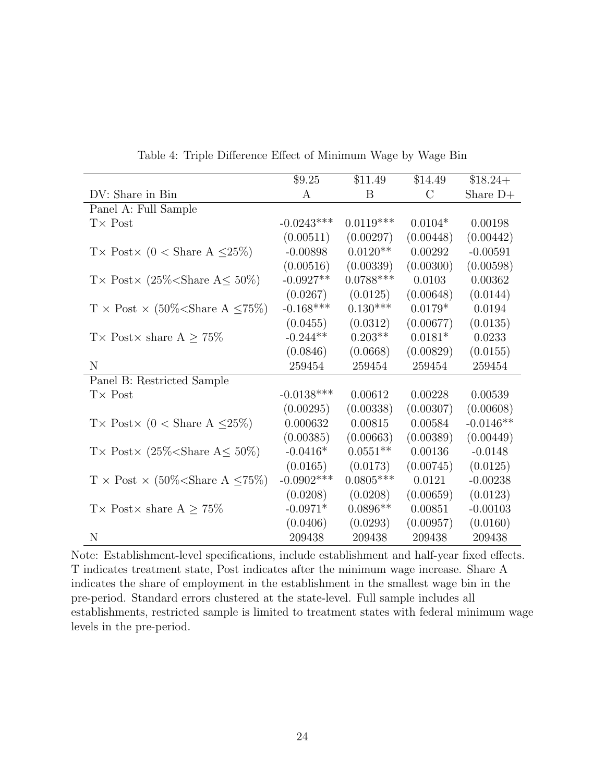<span id="page-23-0"></span>

|                                                     | \$9.25        | \$11.49     | \$14.49       | $$18.24+$   |
|-----------------------------------------------------|---------------|-------------|---------------|-------------|
| DV: Share in Bin                                    | A             | B           | $\mathcal{C}$ | Share $D+$  |
| Panel A: Full Sample                                |               |             |               |             |
| $T\times$ Post                                      | $-0.0243***$  | $0.0119***$ | $0.0104*$     | 0.00198     |
|                                                     | (0.00511)     | (0.00297)   | (0.00448)     | (0.00442)   |
| T × Post × (0 < Share A $\leq$ 25%)                 | $-0.00898$    | $0.0120**$  | 0.00292       | $-0.00591$  |
|                                                     | (0.00516)     | (0.00339)   | (0.00300)     | (0.00598)   |
| T × Post × (25\% < Share A \le 50\%)                | $-0.0927**$   | $0.0788***$ | 0.0103        | 0.00362     |
|                                                     | (0.0267)      | (0.0125)    | (0.00648)     | (0.0144)    |
| $T \times$ Post $\times$ (50% < Share A $\leq$ 75%) | $-0.168***$   | $0.130***$  | $0.0179*$     | 0.0194      |
|                                                     | (0.0455)      | (0.0312)    | (0.00677)     | (0.0135)    |
| T × Post × share $A \geq 75\%$                      | $-0.244**$    | $0.203**$   | $0.0181*$     | 0.0233      |
|                                                     | (0.0846)      | (0.0668)    | (0.00829)     | (0.0155)    |
| N                                                   | 259454        | 259454      | 259454        | 259454      |
| Panel B: Restricted Sample                          |               |             |               |             |
| $T\times$ Post                                      | $-0.0138***$  | 0.00612     | 0.00228       | 0.00539     |
|                                                     | (0.00295)     | (0.00338)   | (0.00307)     | (0.00608)   |
| T × Post × (0 < Share A $\leq$ 25%)                 | 0.000632      | 0.00815     | 0.00584       | $-0.0146**$ |
|                                                     | (0.00385)     | (0.00663)   | (0.00389)     | (0.00449)   |
| T × Post × (25\% < Share A \le 50\%)                | $-0.0416*$    | $0.0551**$  | 0.00136       | $-0.0148$   |
|                                                     | (0.0165)      | (0.0173)    | (0.00745)     | (0.0125)    |
| $T \times$ Post $\times$ (50% < Share A $\leq$ 75%) | $-0.0902$ *** | $0.0805***$ | 0.0121        | $-0.00238$  |
|                                                     | (0.0208)      | (0.0208)    | (0.00659)     | (0.0123)    |
| T × Post × share $A \geq 75\%$                      | $-0.0971*$    | $0.0896**$  | 0.00851       | $-0.00103$  |
|                                                     | (0.0406)      | (0.0293)    | (0.00957)     | (0.0160)    |
| N                                                   | 209438        | 209438      | 209438        | 209438      |

Table 4: Triple Difference Effect of Minimum Wage by Wage Bin

Note: Establishment-level specifications, include establishment and half-year fixed effects. T indicates treatment state, Post indicates after the minimum wage increase. Share A indicates the share of employment in the establishment in the smallest wage bin in the pre-period. Standard errors clustered at the state-level. Full sample includes all establishments, restricted sample is limited to treatment states with federal minimum wage levels in the pre-period.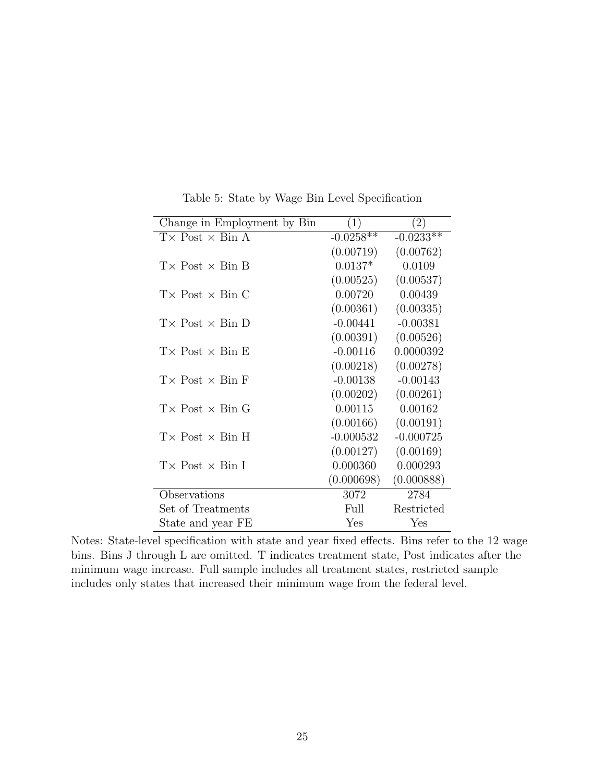<span id="page-24-0"></span>

| Change in Employment by Bin    | (1)         | (2)         |
|--------------------------------|-------------|-------------|
| $T \times$ Post $\times$ Bin A | $-0.0258**$ | $-0.0233**$ |
|                                | (0.00719)   | (0.00762)   |
| $T \times$ Post $\times$ Bin B | $0.0137*$   | 0.0109      |
|                                | (0.00525)   | (0.00537)   |
| $T \times$ Post $\times$ Bin C | 0.00720     | 0.00439     |
|                                | (0.00361)   | (0.00335)   |
| $T \times$ Post $\times$ Bin D | $-0.00441$  | $-0.00381$  |
|                                | (0.00391)   | (0.00526)   |
| $T \times$ Post $\times$ Bin E | $-0.00116$  | 0.0000392   |
|                                | (0.00218)   | (0.00278)   |
| $T \times$ Post $\times$ Bin F | $-0.00138$  | $-0.00143$  |
|                                | (0.00202)   | (0.00261)   |
| $T \times$ Post $\times$ Bin G | 0.00115     | 0.00162     |
|                                | (0.00166)   | (0.00191)   |
| $T \times$ Post $\times$ Bin H | $-0.000532$ | $-0.000725$ |
|                                | (0.00127)   | (0.00169)   |
| $T \times$ Post $\times$ Bin I | 0.000360    | 0.000293    |
|                                | (0.000698)  | (0.000888)  |
| Observations                   | 3072        | 2784        |
| Set of Treatments              | Full        | Restricted  |
| State and year FE              | Yes         | Yes         |

Table 5: State by Wage Bin Level Specification

Notes: State-level specification with state and year fixed effects. Bins refer to the 12 wage bins. Bins J through L are omitted. T indicates treatment state, Post indicates after the minimum wage increase. Full sample includes all treatment states, restricted sample includes only states that increased their minimum wage from the federal level.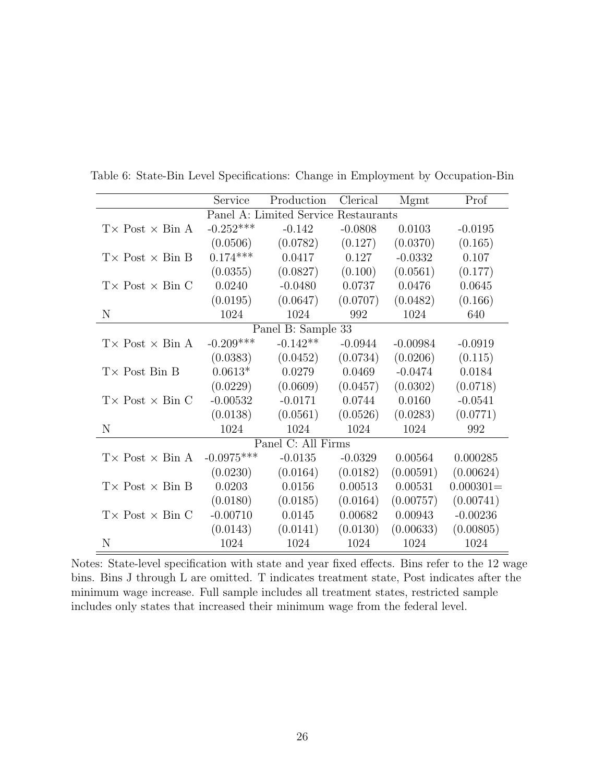|                                | Service      | Production               | Clerical    | Mgmt       | Prof        |
|--------------------------------|--------------|--------------------------|-------------|------------|-------------|
|                                |              | Panel A: Limited Service | Restaurants |            |             |
| $T \times$ Post $\times$ Bin A | $-0.252***$  | $-0.142$                 | $-0.0808$   | 0.0103     | $-0.0195$   |
|                                | (0.0506)     | (0.0782)                 | (0.127)     | (0.0370)   | (0.165)     |
| $T \times$ Post $\times$ Bin B | $0.174***$   | 0.0417                   | 0.127       | $-0.0332$  | 0.107       |
|                                | (0.0355)     | (0.0827)                 | (0.100)     | (0.0561)   | (0.177)     |
| $T \times$ Post $\times$ Bin C | 0.0240       | $-0.0480$                | 0.0737      | 0.0476     | 0.0645      |
|                                | (0.0195)     | (0.0647)                 | (0.0707)    | (0.0482)   | (0.166)     |
| N                              | 1024         | 1024                     | 992         | 1024       | 640         |
|                                |              | Panel B: Sample 33       |             |            |             |
| $T \times$ Post $\times$ Bin A | $-0.209***$  | $-0.142**$               | $-0.0944$   | $-0.00984$ | $-0.0919$   |
|                                | (0.0383)     | (0.0452)                 | (0.0734)    | (0.0206)   | (0.115)     |
| $T \times$ Post Bin B          | $0.0613*$    | 0.0279                   | 0.0469      | $-0.0474$  | 0.0184      |
|                                | (0.0229)     | (0.0609)                 | (0.0457)    | (0.0302)   | (0.0718)    |
| $T \times$ Post $\times$ Bin C | $-0.00532$   | $-0.0171$                | 0.0744      | 0.0160     | $-0.0541$   |
|                                | (0.0138)     | (0.0561)                 | (0.0526)    | (0.0283)   | (0.0771)    |
| N                              | 1024         | 1024                     | 1024        | 1024       | 992         |
|                                |              | Panel C: All Firms       |             |            |             |
| $T \times$ Post $\times$ Bin A | $-0.0975***$ | $-0.0135$                | $-0.0329$   | 0.00564    | 0.000285    |
|                                | (0.0230)     | (0.0164)                 | (0.0182)    | (0.00591)  | (0.00624)   |
| $T \times$ Post $\times$ Bin B | 0.0203       | 0.0156                   | 0.00513     | 0.00531    | $0.000301=$ |
|                                | (0.0180)     | (0.0185)                 | (0.0164)    | (0.00757)  | (0.00741)   |
| $T \times$ Post $\times$ Bin C | $-0.00710$   | 0.0145                   | 0.00682     | 0.00943    | $-0.00236$  |
|                                | (0.0143)     | (0.0141)                 | (0.0130)    | (0.00633)  | (0.00805)   |
| N                              | 1024         | 1024                     | 1024        | 1024       | 1024        |

<span id="page-25-0"></span>Table 6: State-Bin Level Specifications: Change in Employment by Occupation-Bin

Notes: State-level specification with state and year fixed effects. Bins refer to the 12 wage bins. Bins J through L are omitted. T indicates treatment state, Post indicates after the minimum wage increase. Full sample includes all treatment states, restricted sample includes only states that increased their minimum wage from the federal level.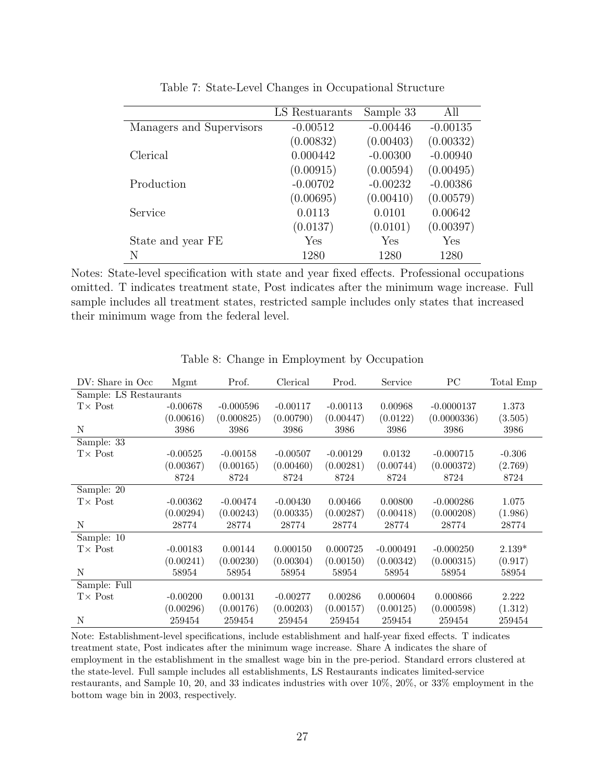<span id="page-26-0"></span>

|                          | LS Restuarants | Sample 33  | All        |
|--------------------------|----------------|------------|------------|
| Managers and Supervisors | $-0.00512$     | $-0.00446$ | $-0.00135$ |
|                          | (0.00832)      | (0.00403)  | (0.00332)  |
| Clerical                 | 0.000442       | $-0.00300$ | $-0.00940$ |
|                          | (0.00915)      | (0.00594)  | (0.00495)  |
| Production               | $-0.00702$     | $-0.00232$ | $-0.00386$ |
|                          | (0.00695)      | (0.00410)  | (0.00579)  |
| Service                  | 0.0113         | 0.0101     | 0.00642    |
|                          | (0.0137)       | (0.0101)   | (0.00397)  |
| State and year FE        | Yes            | Yes        | Yes        |
| N                        | 1280           | 1280       | 1280       |

Table 7: State-Level Changes in Occupational Structure

Notes: State-level specification with state and year fixed effects. Professional occupations omitted. T indicates treatment state, Post indicates after the minimum wage increase. Full sample includes all treatment states, restricted sample includes only states that increased their minimum wage from the federal level.

<span id="page-26-1"></span>

| DV: Share in Occ.      | Mgmt       | Prof.       | Clerical   | Prod.      | Service     | PС           | Total Emp |
|------------------------|------------|-------------|------------|------------|-------------|--------------|-----------|
| Sample: LS Restaurants |            |             |            |            |             |              |           |
| $T\times$ Post         | $-0.00678$ | $-0.000596$ | $-0.00117$ | $-0.00113$ | 0.00968     | $-0.0000137$ | 1.373     |
|                        | (0.00616)  | (0.000825)  | (0.00790)  | (0.00447)  | (0.0122)    | (0.0000336)  | (3.505)   |
| N                      | 3986       | 3986        | 3986       | 3986       | 3986        | 3986         | 3986      |
| Sample: 33             |            |             |            |            |             |              |           |
| $T\times$ Post         | $-0.00525$ | $-0.00158$  | $-0.00507$ | $-0.00129$ | 0.0132      | $-0.000715$  | $-0.306$  |
|                        | (0.00367)  | (0.00165)   | (0.00460)  | (0.00281)  | (0.00744)   | (0.000372)   | (2.769)   |
|                        | 8724       | 8724        | 8724       | 8724       | 8724        | 8724         | 8724      |
| Sample: 20             |            |             |            |            |             |              |           |
| $T\times$ Post         | $-0.00362$ | $-0.00474$  | $-0.00430$ | 0.00466    | 0.00800     | $-0.000286$  | 1.075     |
|                        | (0.00294)  | (0.00243)   | (0.00335)  | (0.00287)  | (0.00418)   | (0.000208)   | (1.986)   |
| N                      | 28774      | 28774       | 28774      | 28774      | 28774       | 28774        | 28774     |
| Sample: 10             |            |             |            |            |             |              |           |
| $T\times$ Post         | $-0.00183$ | 0.00144     | 0.000150   | 0.000725   | $-0.000491$ | $-0.000250$  | $2.139*$  |
|                        | (0.00241)  | (0.00230)   | (0.00304)  | (0.00150)  | (0.00342)   | (0.000315)   | (0.917)   |
| N                      | 58954      | 58954       | 58954      | 58954      | 58954       | 58954        | 58954     |
| Sample: Full           |            |             |            |            |             |              |           |
| $T\times$ Post         | $-0.00200$ | 0.00131     | $-0.00277$ | 0.00286    | 0.000604    | 0.000866     | 2.222     |
|                        | (0.00296)  | (0.00176)   | (0.00203)  | (0.00157)  | (0.00125)   | (0.000598)   | (1.312)   |
| N                      | 259454     | 259454      | 259454     | 259454     | 259454      | 259454       | 259454    |

Table 8: Change in Employment by Occupation

Note: Establishment-level specifications, include establishment and half-year fixed effects. T indicates treatment state, Post indicates after the minimum wage increase. Share A indicates the share of employment in the establishment in the smallest wage bin in the pre-period. Standard errors clustered at the state-level. Full sample includes all establishments, LS Restaurants indicates limited-service restaurants, and Sample 10, 20, and 33 indicates industries with over 10%, 20%, or 33% employment in the bottom wage bin in 2003, respectively.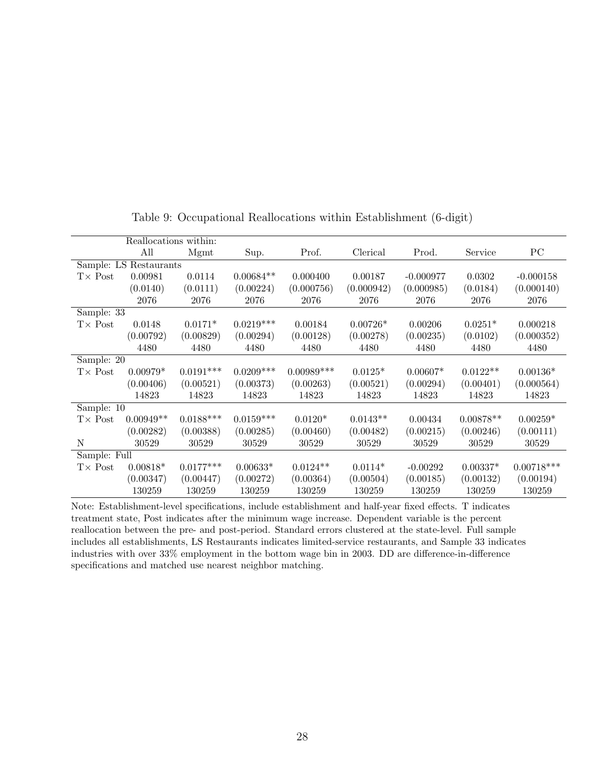<span id="page-27-0"></span>

|                 | Reallocations within:  |             |             |              |            |             |             |              |
|-----------------|------------------------|-------------|-------------|--------------|------------|-------------|-------------|--------------|
|                 | All                    | Mgmt        | Sup.        | Prof.        | Clerical   | Prod.       | Service     | PС           |
|                 | Sample: LS Restaurants |             |             |              |            |             |             |              |
| $T\times$ Post  | 0.00981                | 0.0114      | $0.00684**$ | 0.000400     | 0.00187    | $-0.000977$ | 0.0302      | $-0.000158$  |
|                 | (0.0140)               | (0.0111)    | (0.00224)   | (0.000756)   | (0.000942) | (0.000985)  | (0.0184)    | (0.000140)   |
|                 | 2076                   | 2076        | 2076        | 2076         | 2076       | 2076        | 2076        | 2076         |
| Sample: 33      |                        |             |             |              |            |             |             |              |
| $T\times$ Post  | 0.0148                 | $0.0171*$   | $0.0219***$ | 0.00184      | $0.00726*$ | 0.00206     | $0.0251*$   | 0.000218     |
|                 | (0.00792)              | (0.00829)   | (0.00294)   | (0.00128)    | (0.00278)  | (0.00235)   | (0.0102)    | (0.000352)   |
|                 | 4480                   | 4480        | 4480        | 4480         | 4480       | 4480        | 4480        | 4480         |
| Sample: $20$    |                        |             |             |              |            |             |             |              |
| $T \times Post$ | $0.00979*$             | $0.0191***$ | $0.0209***$ | $0.00989***$ | $0.0125*$  | $0.00607*$  | $0.0122**$  | $0.00136*$   |
|                 | (0.00406)              | (0.00521)   | (0.00373)   | (0.00263)    | (0.00521)  | (0.00294)   | (0.00401)   | (0.000564)   |
|                 | 14823                  | 14823       | 14823       | 14823        | 14823      | 14823       | 14823       | 14823        |
| Sample: 10      |                        |             |             |              |            |             |             |              |
| $T\times$ Post  | $0.00949**$            | $0.0188***$ | $0.0159***$ | $0.0120*$    | $0.0143**$ | 0.00434     | $0.00878**$ | $0.00259*$   |
|                 | (0.00282)              | (0.00388)   | (0.00285)   | (0.00460)    | (0.00482)  | (0.00215)   | (0.00246)   | (0.00111)    |
| N               | 30529                  | 30529       | 30529       | 30529        | 30529      | 30529       | 30529       | 30529        |
| Sample: Full    |                        |             |             |              |            |             |             |              |
| $T \times Post$ | $0.00818*$             | $0.0177***$ | $0.00633*$  | $0.0124**$   | $0.0114*$  | $-0.00292$  | $0.00337*$  | $0.00718***$ |
|                 | (0.00347)              | (0.00447)   | (0.00272)   | (0.00364)    | (0.00504)  | (0.00185)   | (0.00132)   | (0.00194)    |
|                 | 130259                 | 130259      | 130259      | 130259       | 130259     | 130259      | 130259      | 130259       |

Table 9: Occupational Reallocations within Establishment (6-digit)

Note: Establishment-level specifications, include establishment and half-year fixed effects. T indicates treatment state, Post indicates after the minimum wage increase. Dependent variable is the percent reallocation between the pre- and post-period. Standard errors clustered at the state-level. Full sample includes all establishments, LS Restaurants indicates limited-service restaurants, and Sample 33 indicates industries with over 33% employment in the bottom wage bin in 2003. DD are difference-in-difference specifications and matched use nearest neighbor matching.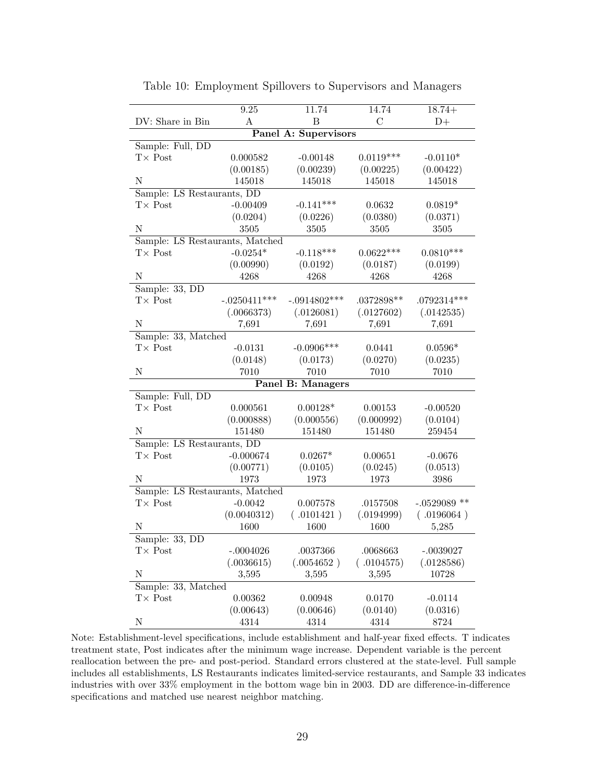<span id="page-28-0"></span>

|                                 | 9.25           | 11.74                       | 14.74        | $18.74+$       |  |  |  |  |  |  |
|---------------------------------|----------------|-----------------------------|--------------|----------------|--|--|--|--|--|--|
| DV: Share in Bin                | A              | B                           | C            | $D+$           |  |  |  |  |  |  |
|                                 |                | <b>Panel A: Supervisors</b> |              |                |  |  |  |  |  |  |
| Sample: Full, DD                |                |                             |              |                |  |  |  |  |  |  |
| $T\times$ Post                  | 0.000582       | $-0.00148$                  | $0.0119***$  | $-0.0110*$     |  |  |  |  |  |  |
|                                 | (0.00185)      | (0.00239)                   | (0.00225)    | (0.00422)      |  |  |  |  |  |  |
| N                               | 145018         | 145018                      | 145018       | 145018         |  |  |  |  |  |  |
| Sample: LS Restaurants, DD      |                |                             |              |                |  |  |  |  |  |  |
| $T\times$ Post                  | $-0.00409$     | $-0.141***$                 | 0.0632       | $0.0819*$      |  |  |  |  |  |  |
|                                 | (0.0204)       | (0.0226)                    | (0.0380)     | (0.0371)       |  |  |  |  |  |  |
| N                               | 3505           | 3505                        | 3505         | 3505           |  |  |  |  |  |  |
| Sample: LS Restaurants, Matched |                |                             |              |                |  |  |  |  |  |  |
| $T\times$ Post                  | $-0.0254*$     | $-0.118***$                 | $0.0622***$  | $0.0810***$    |  |  |  |  |  |  |
|                                 | (0.00990)      | (0.0192)                    | (0.0187)     | (0.0199)       |  |  |  |  |  |  |
| N                               | 4268           | 4268                        | 4268         | 4268           |  |  |  |  |  |  |
| Sample: 33, DD                  |                |                             |              |                |  |  |  |  |  |  |
| $T\times$ Post                  | $-.0250411***$ | $-.0914802***$              | $.0372898**$ | $.0792314***$  |  |  |  |  |  |  |
|                                 | (.0066373)     | (.0126081)                  | (.0127602)   | (.0142535)     |  |  |  |  |  |  |
| N                               | 7,691          | 7,691                       | 7,691        | 7,691          |  |  |  |  |  |  |
| Sample: 33, Matched             |                |                             |              |                |  |  |  |  |  |  |
| $T \times$ Post                 | $-0.0131$      | $-0.0906***$                | 0.0441       | $0.0596*$      |  |  |  |  |  |  |
|                                 | (0.0148)       | (0.0173)                    | (0.0270)     | (0.0235)       |  |  |  |  |  |  |
| Ν                               | 7010           | 7010                        | 7010         | 7010           |  |  |  |  |  |  |
| <b>Panel B: Managers</b>        |                |                             |              |                |  |  |  |  |  |  |
| Sample: Full, DD                |                |                             |              |                |  |  |  |  |  |  |
| $T\times$ Post                  | 0.000561       | $0.00128*$                  | 0.00153      | $-0.00520$     |  |  |  |  |  |  |
|                                 | (0.000888)     | (0.000556)                  | (0.000992)   | (0.0104)       |  |  |  |  |  |  |
| N                               | 151480         | 151480                      | 151480       | 259454         |  |  |  |  |  |  |
| Sample: LS Restaurants, DD      |                |                             |              |                |  |  |  |  |  |  |
| $T\times$ Post                  | $-0.000674$    | $0.0267*$                   | 0.00651      | $-0.0676$      |  |  |  |  |  |  |
|                                 | (0.00771)      | (0.0105)                    | (0.0245)     | (0.0513)       |  |  |  |  |  |  |
| N                               | 1973           | 1973                        | 1973         | 3986           |  |  |  |  |  |  |
| Sample: LS Restaurants, Matched |                |                             |              |                |  |  |  |  |  |  |
| $T\times$ Post                  | $-0.0042$      | 0.007578                    | .0157508     | $-.0529089$ ** |  |  |  |  |  |  |
|                                 | (0.0040312)    | (.0101421)                  | (.0194999)   | (.0196064)     |  |  |  |  |  |  |
| N                               | 1600           | 1600                        | 1600         | 5,285          |  |  |  |  |  |  |
| Sample: 33, DD                  |                |                             |              |                |  |  |  |  |  |  |
| $T \times$ Post                 | $-.0004026$    | .0037366                    | .0068663     | $-.0039027$    |  |  |  |  |  |  |
|                                 | (.0036615)     | (.0054652)                  | (.0104575)   | (.0128586)     |  |  |  |  |  |  |
| $\mathbf N$                     | 3,595          | 3,595                       | 3,595        | 10728          |  |  |  |  |  |  |
| Sample: 33, Matched             |                |                             |              |                |  |  |  |  |  |  |
| $T\times$ Post                  | 0.00362        | 0.00948                     | 0.0170       | $-0.0114$      |  |  |  |  |  |  |
|                                 | (0.00643)      | (0.00646)                   | (0.0140)     | (0.0316)       |  |  |  |  |  |  |
| $\mathbf N$                     | 4314           | 4314                        | 4314         | 8724           |  |  |  |  |  |  |

Table 10: Employment Spillovers to Supervisors and Managers

Note: Establishment-level specifications, include establishment and half-year fixed effects. T indicates treatment state, Post indicates after the minimum wage increase. Dependent variable is the percent reallocation between the pre- and post-period. Standard errors clustered at the state-level. Full sample includes all establishments, LS Restaurants indicates limited-service restaurants, and Sample 33 indicates industries with over 33% employment in the bottom wage bin in 2003. DD are difference-in-difference specifications and matched use nearest neighbor matching.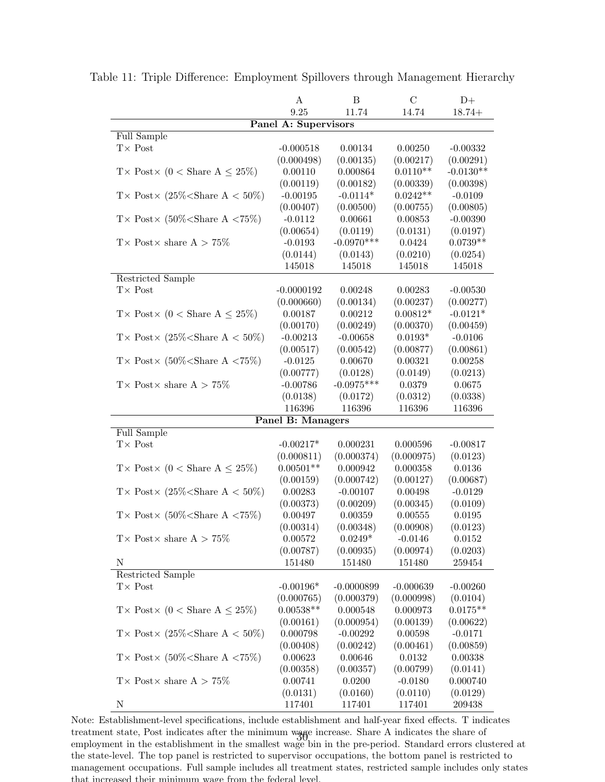|                                            | A                    | B            | C               | $D+$        |  |  |  |  |  |
|--------------------------------------------|----------------------|--------------|-----------------|-------------|--|--|--|--|--|
|                                            | 9.25                 | 11.74        | 14.74           | $18.74+$    |  |  |  |  |  |
|                                            | Panel A: Supervisors |              |                 |             |  |  |  |  |  |
| Full Sample                                |                      |              |                 |             |  |  |  |  |  |
| $T \times Post$                            | $-0.000518$          | 0.00134      | 0.00250         | $-0.00332$  |  |  |  |  |  |
|                                            | (0.000498)           | (0.00135)    | (0.00217)       | (0.00291)   |  |  |  |  |  |
| T × Post × (0 < Share A $\leq$ 25%)        | 0.00110              | 0.000864     | $0.0110**$      | $-0.0130**$ |  |  |  |  |  |
|                                            | (0.00119)            | (0.00182)    | (0.00339)       | (0.00398)   |  |  |  |  |  |
| T × Post × (25% < Share A < 50%)           | $-0.00195$           | $-0.0114*$   | $0.0242**$      | $-0.0109$   |  |  |  |  |  |
|                                            | (0.00407)            | (0.00500)    | (0.00755)       | (0.00805)   |  |  |  |  |  |
| T × Post × $(50\%<\text{Share A } < 75\%)$ | $-0.0112$            | 0.00661      | 0.00853         | $-0.00390$  |  |  |  |  |  |
|                                            | (0.00654)            | (0.0119)     | (0.0131)        | (0.0197)    |  |  |  |  |  |
| T × Post × share $A > 75\%$                | $-0.0193$            | $-0.0970***$ | 0.0424          | $0.0739**$  |  |  |  |  |  |
|                                            | (0.0144)             | (0.0143)     | (0.0210)        | (0.0254)    |  |  |  |  |  |
|                                            | 145018               | 145018       | 145018          | 145018      |  |  |  |  |  |
| Restricted Sample                          |                      |              |                 |             |  |  |  |  |  |
| $T\times$ Post                             | $-0.0000192$         | 0.00248      | 0.00283         | $-0.00530$  |  |  |  |  |  |
|                                            | (0.000660)           | (0.00134)    | (0.00237)       | (0.00277)   |  |  |  |  |  |
| T × Post × (0 < Share A $\leq$ 25%)        | 0.00187              | 0.00212      | $0.00812*$      | $-0.0121*$  |  |  |  |  |  |
|                                            | (0.00170)            | (0.00249)    | (0.00370)       | (0.00459)   |  |  |  |  |  |
| T × Post × (25% < Share A < 50%)           | $-0.00213$           | $-0.00658$   | $0.0193^{\ast}$ | $-0.0106$   |  |  |  |  |  |
|                                            | (0.00517)            | (0.00542)    | (0.00877)       | (0.00861)   |  |  |  |  |  |
| T × Post × $(50\%<\text{Share A } < 75\%)$ | $-0.0125$            | 0.00670      | 0.00321         | 0.00258     |  |  |  |  |  |
|                                            | (0.00777)            | (0.0128)     | (0.0149)        | (0.0213)    |  |  |  |  |  |
| T × Post × share $A > 75\%$                | $-0.00786$           | $-0.0975***$ | 0.0379          | 0.0675      |  |  |  |  |  |
|                                            | (0.0138)             | (0.0172)     | (0.0312)        | (0.0338)    |  |  |  |  |  |
|                                            | 116396               | 116396       | 116396          | 116396      |  |  |  |  |  |
| <b>Panel B: Managers</b><br>Full Sample    |                      |              |                 |             |  |  |  |  |  |
| $T\times$ Post                             | $-0.00217*$          | 0.000231     | 0.000596        | $-0.00817$  |  |  |  |  |  |
|                                            | (0.000811)           | (0.000374)   | (0.000975)      | (0.0123)    |  |  |  |  |  |
| T × Post × (0 < Share A $\leq$ 25%)        | $0.00501**$          | 0.000942     | 0.000358        | 0.0136      |  |  |  |  |  |
|                                            | (0.00159)            | (0.000742)   | (0.00127)       | (0.00687)   |  |  |  |  |  |
| T × Post × (25% < Share A < 50%)           | 0.00283              | $-0.00107$   | 0.00498         | $-0.0129$   |  |  |  |  |  |
|                                            | (0.00373)            | (0.00209)    | (0.00345)       | (0.0109)    |  |  |  |  |  |
| T × Post × $(50\%<\text{Share A } < 75\%)$ | 0.00497              | 0.00359      | 0.00555         | 0.0195      |  |  |  |  |  |
|                                            | (0.00314)            | (0.00348)    | (0.00908)       | (0.0123)    |  |  |  |  |  |
| T× Post× share A > 75%                     | $0.00572\,$          | $0.0249*$    | $-0.0146$       | 0.0152      |  |  |  |  |  |
|                                            | (0.00787)            | (0.00935)    | (0.00974)       | (0.0203)    |  |  |  |  |  |
| $\mathbf N$                                | 151480               | 151480       | 151480          | 259454      |  |  |  |  |  |
| <b>Restricted Sample</b>                   |                      |              |                 |             |  |  |  |  |  |
| $T \times$ Post                            | $-0.00196*$          | $-0.0000899$ | $-0.000639$     | $-0.00260$  |  |  |  |  |  |
|                                            | (0.000765)           | (0.000379)   | (0.000998)      | (0.0104)    |  |  |  |  |  |
| T × Post × (0 < Share A $\leq$ 25%)        | $0.00538**$          | 0.000548     | 0.000973        | $0.0175**$  |  |  |  |  |  |
|                                            | (0.00161)            | (0.000954)   | (0.00139)       | (0.00622)   |  |  |  |  |  |
| T × Post × $(25\%<\text{Share A} < 50\%)$  | 0.000798             | $-0.00292$   | 0.00598         | $-0.0171$   |  |  |  |  |  |
|                                            | (0.00408)            | (0.00242)    | (0.00461)       | (0.00859)   |  |  |  |  |  |
| T × Post × $(50\%<\text{Share A } < 75\%)$ | 0.00623              | 0.00646      | 0.0132          | 0.00338     |  |  |  |  |  |
|                                            | (0.00358)            | (0.00357)    | (0.00799)       | (0.0141)    |  |  |  |  |  |
| T × Post × share $A > 75\%$                | 0.00741              | 0.0200       | $-0.0180$       | 0.000740    |  |  |  |  |  |
|                                            | (0.0131)             | (0.0160)     | (0.0110)        | (0.0129)    |  |  |  |  |  |
| $\mathbf N$                                | 117401               | 117401       | 117401          | 209438      |  |  |  |  |  |

<span id="page-29-0"></span>Table 11: Triple Difference: Employment Spillovers through Management Hierarchy

Note: Establishment-level specifications, include establishment and half-year fixed effects. T indicates treatment state, Post indicates after the minimum wage increase. Share A indicates the share of treatment state, Post indicates after the minimum wage increase. Share A indicates the share of<br>employment in the establishment in the smallest wage bin in the pre-period. Standard errors clustered at the state-level. The top panel is restricted to supervisor occupations, the bottom panel is restricted to management occupations. Full sample includes all treatment states, restricted sample includes only states that increased their minimum wage from the federal level.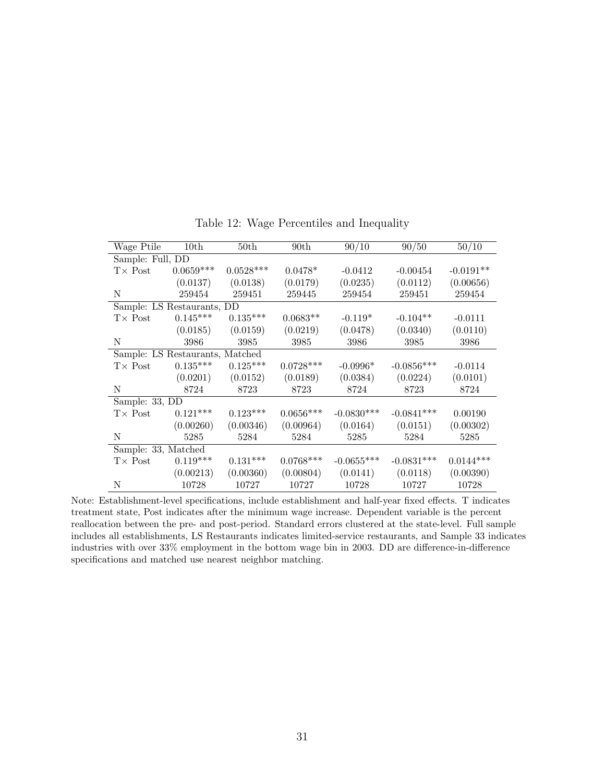<span id="page-30-0"></span>

| Wage Ptile                 | 10 <sub>th</sub>                | 50th        | 90 <sub>th</sub> | 90/10        | 90/50        | 50/10       |
|----------------------------|---------------------------------|-------------|------------------|--------------|--------------|-------------|
| Sample: Full, DD           |                                 |             |                  |              |              |             |
| $T\times$ Post             | $0.0659***$                     | $0.0528***$ | $0.0478*$        | $-0.0412$    | $-0.00454$   | $-0.0191**$ |
|                            | (0.0137)                        | (0.0138)    | (0.0179)         | (0.0235)     | (0.0112)     | (0.00656)   |
| N                          | 259454                          | 259451      | 259445           | 259454       | 259451       | 259454      |
| Sample: LS Restaurants, DD |                                 |             |                  |              |              |             |
| $T\times$ Post             | $0.145***$                      | $0.135***$  | $0.0683**$       | $-0.119*$    | $-0.104**$   | $-0.0111$   |
|                            | (0.0185)                        | (0.0159)    | (0.0219)         | (0.0478)     | (0.0340)     | (0.0110)    |
| N                          | 3986                            | 3985        | 3985             | 3986         | 3985         | 3986        |
|                            | Sample: LS Restaurants, Matched |             |                  |              |              |             |
| $T \times$ Post            | $0.135***$                      | $0.125***$  | $0.0728***$      | $-0.0996*$   | $-0.0856***$ | $-0.0114$   |
|                            | (0.0201)                        | (0.0152)    | (0.0189)         | (0.0384)     | (0.0224)     | (0.0101)    |
| N                          | 8724                            | 8723        | 8723             | 8724         | 8723         | 8724        |
| Sample: 33, DD             |                                 |             |                  |              |              |             |
| $T\times$ Post             | $0.121***$                      | $0.123***$  | $0.0656***$      | $-0.0830***$ | $-0.0841***$ | 0.00190     |
|                            | (0.00260)                       | (0.00346)   | (0.00964)        | (0.0164)     | (0.0151)     | (0.00302)   |
| N                          | 5285                            | 5284        | 5284             | 5285         | 5284         | 5285        |
| Sample: 33, Matched        |                                 |             |                  |              |              |             |
| $T\times$ Post             | $0.119***$                      | $0.131***$  | $0.0768***$      | $-0.0655***$ | $-0.0831***$ | $0.0144***$ |
|                            | (0.00213)                       | (0.00360)   | (0.00804)        | (0.0141)     | (0.0118)     | (0.00390)   |
| Ν                          | 10728                           | 10727       | 10727            | 10728        | 10727        | 10728       |

Table 12: Wage Percentiles and Inequality

Note: Establishment-level specifications, include establishment and half-year fixed effects. T indicates treatment state, Post indicates after the minimum wage increase. Dependent variable is the percent reallocation between the pre- and post-period. Standard errors clustered at the state-level. Full sample includes all establishments, LS Restaurants indicates limited-service restaurants, and Sample 33 indicates industries with over 33% employment in the bottom wage bin in 2003. DD are difference-in-difference specifications and matched use nearest neighbor matching.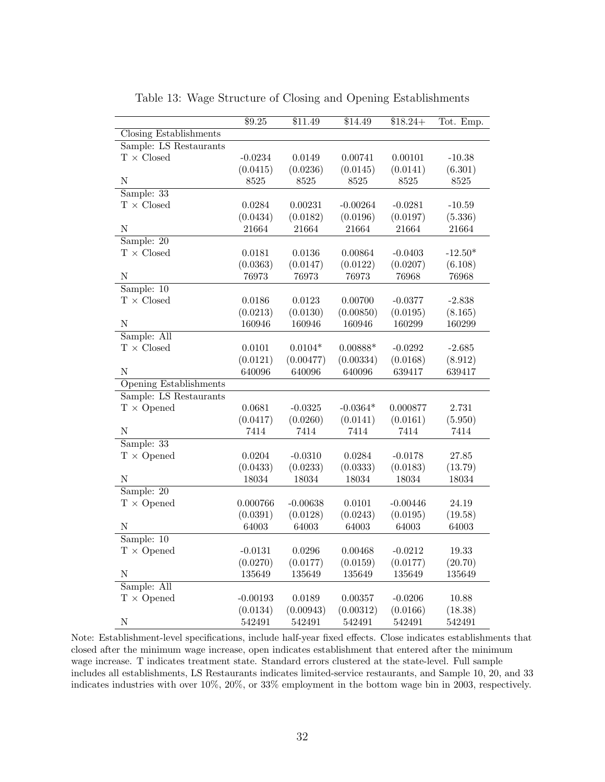|                               | \$9.25     | \$11.49    | \$14.49    | $$18.24+$  | Tot. Emp. |
|-------------------------------|------------|------------|------------|------------|-----------|
| <b>Closing Establishments</b> |            |            |            |            |           |
| Sample: LS Restaurants        |            |            |            |            |           |
| $T$ $\times$ Closed           | $-0.0234$  | 0.0149     | 0.00741    | 0.00101    | $-10.38$  |
|                               | (0.0415)   | (0.0236)   | (0.0145)   | (0.0141)   | (6.301)   |
| N                             | 8525       | 8525       | 8525       | 8525       | 8525      |
| Sample: 33                    |            |            |            |            |           |
| $T$ $\times$ Closed           | 0.0284     | 0.00231    | $-0.00264$ | $-0.0281$  | $-10.59$  |
|                               | (0.0434)   | (0.0182)   | (0.0196)   | (0.0197)   | (5.336)   |
| $\mathbf N$                   | 21664      | 21664      | 21664      | 21664      | 21664     |
| Sample: $20$                  |            |            |            |            |           |
| $T$ $\times$ Closed           | 0.0181     | 0.0136     | 0.00864    | $-0.0403$  | $-12.50*$ |
|                               | (0.0363)   | (0.0147)   | (0.0122)   | (0.0207)   | (6.108)   |
| N                             | 76973      | 76973      | 76973      | 76968      | 76968     |
| Sample: 10                    |            |            |            |            |           |
| $T$ $\times$ Closed           | 0.0186     | 0.0123     | 0.00700    | $-0.0377$  | $-2.838$  |
|                               | (0.0213)   | (0.0130)   | (0.00850)  | (0.0195)   | (8.165)   |
| N                             | 160946     | 160946     | 160946     | 160299     | 160299    |
| Sample: All                   |            |            |            |            |           |
| $T$ $\times$ Closed           | 0.0101     | $0.0104*$  | $0.00888*$ | $-0.0292$  | $-2.685$  |
|                               | (0.0121)   | (0.00477)  | (0.00334)  | (0.0168)   | (8.912)   |
| N                             | 640096     | 640096     | 640096     | 639417     | 639417    |
| <b>Opening Establishments</b> |            |            |            |            |           |
| Sample: LS Restaurants        |            |            |            |            |           |
| $T \times$ Opened             | 0.0681     | $-0.0325$  | $-0.0364*$ | 0.000877   | 2.731     |
|                               | (0.0417)   | (0.0260)   | (0.0141)   | (0.0161)   | (5.950)   |
| ${\bf N}$                     | 7414       | 7414       | 7414       | 7414       | 7414      |
| Sample: 33                    |            |            |            |            |           |
| $T \times$ Opened             | 0.0204     | $-0.0310$  | 0.0284     | $-0.0178$  | $27.85\,$ |
|                               | (0.0433)   | (0.0233)   | (0.0333)   | (0.0183)   | (13.79)   |
| N                             | 18034      | 18034      | 18034      | 18034      | 18034     |
| Sample: $20$                  |            |            |            |            |           |
| $T \times$ Opened             | 0.000766   | $-0.00638$ | 0.0101     | $-0.00446$ | 24.19     |
|                               | (0.0391)   | (0.0128)   | (0.0243)   | (0.0195)   | (19.58)   |
| Ν                             | 64003      | 64003      | 64003      | 64003      | 64003     |
| Sample: 10                    |            |            |            |            |           |
| $T \times$ Opened             | $-0.0131$  | 0.0296     | 0.00468    | $-0.0212$  | 19.33     |
|                               | (0.0270)   | (0.0177)   | (0.0159)   | (0.0177)   | (20.70)   |
| N                             | 135649     | 135649     | 135649     | 135649     | 135649    |
| Sample: All                   |            |            |            |            |           |
| $T \times$ Opened             | $-0.00193$ | 0.0189     | 0.00357    | $-0.0206$  | 10.88     |
|                               | (0.0134)   | (0.00943)  | (0.00312)  | (0.0166)   | (18.38)   |
| ${\rm N}$                     | 542491     | 542491     |            |            |           |
|                               |            |            | 542491     | 542491     | 542491    |

Table 13: Wage Structure of Closing and Opening Establishments

Note: Establishment-level specifications, include half-year fixed effects. Close indicates establishments that closed after the minimum wage increase, open indicates establishment that entered after the minimum wage increase. T indicates treatment state. Standard errors clustered at the state-level. Full sample includes all establishments, LS Restaurants indicates limited-service restaurants, and Sample 10, 20, and 33 indicates industries with over 10%, 20%, or 33% employment in the bottom wage bin in 2003, respectively.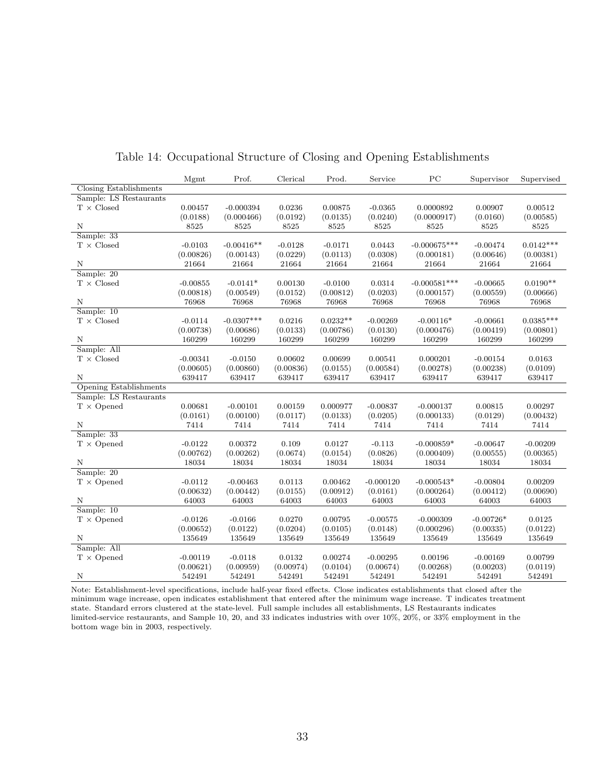<span id="page-32-0"></span>

| <b>Closing Establishments</b><br>Sample: LS Restaurants<br>$\text{T}$ $\times$ Closed<br>0.00457<br>$-0.000394$<br>0.0236<br>0.00875<br>$-0.0365$<br>0.0000892<br>0.00907<br>0.00512<br>(0.0188)<br>(0.000466)<br>(0.0192)<br>(0.0135)<br>(0.0240)<br>(0.0000917)<br>(0.0160)<br>(0.00585)<br>Ν<br>8525<br>8525<br>8525<br>8525<br>8525<br>8525<br>8525<br>8525<br>Sample: 33<br>$T \times Closed$<br>$0.0142***$<br>$-0.00416**$<br>0.0443<br>$-0.000675***$<br>$-0.00474$<br>$-0.0103$<br>$-0.0128$<br>$-0.0171$<br>(0.00826)<br>(0.0113)<br>(0.0308)<br>(0.00646)<br>(0.00143)<br>(0.0229)<br>(0.000181)<br>(0.00381)<br>N<br>21664<br>21664<br>21664<br>21664<br>21664<br>21664<br>21664<br>21664<br>Sample: 20<br>$\text{T}$ $\times$ Closed<br>$-0.0141*$<br>0.00130<br>0.0314<br>$-0.000581***$<br>$0.0190**$<br>$-0.00855$<br>$-0.0100$<br>$-0.00665$<br>(0.0203)<br>(0.00818)<br>(0.00549)<br>(0.0152)<br>(0.00812)<br>(0.000157)<br>(0.00559)<br>(0.00666)<br>N<br>76968<br>76968<br>76968<br>76968<br>76968<br>76968<br>76968<br>76968<br>Sample: 10<br>$0.0232**$<br>$0.0385***$<br>$\text{T} \times \text{Closed}$<br>$-0.0114$<br>$-0.0307***$<br>0.0216<br>$-0.00269$<br>$-0.00116*$<br>$-0.00661$<br>(0.00738)<br>(0.00686)<br>(0.0133)<br>(0.00786)<br>(0.0130)<br>(0.000476)<br>(0.00419)<br>(0.00801)<br>N<br>160299<br>160299<br>160299<br>160299<br>160299<br>160299<br>160299<br>160299<br>Sample: All<br>$\text{T}\,\times\,\text{Closed}$<br>$-0.00341$<br>$-0.0150$<br>0.00602<br>0.00699<br>0.00541<br>0.000201<br>$-0.00154$<br>0.0163<br>(0.00605)<br>(0.00860)<br>(0.00836)<br>(0.0155)<br>(0.00584)<br>(0.00278)<br>(0.00238)<br>(0.0109)<br>N<br>639417<br>639417<br>639417<br>639417<br>639417<br>639417<br>639417<br>639417<br>Opening Establishments<br>Sample: LS Restaurants<br>$T \times$ Opened<br>0.00681<br>$-0.00101$<br>0.00159<br>0.000977<br>$-0.000137$<br>0.00815<br>$-0.00837$<br>0.00297<br>(0.0161)<br>(0.00100)<br>(0.0117)<br>(0.0133)<br>(0.0205)<br>(0.000133)<br>(0.0129)<br>(0.00432)<br>7414<br>N<br>7414<br>7414<br>7414<br>7414<br>7414<br>7414<br>7414<br>Sample: $33$<br>$-0.0122$<br>0.00372<br>0.109<br>0.0127<br>$-0.113$<br>$-0.000859*$<br>$-0.00647$<br>$T \times$ Opened<br>$-0.00209$<br>(0.00762)<br>(0.00262)<br>(0.0674)<br>(0.0154)<br>(0.0826)<br>(0.000409)<br>(0.00555)<br>(0.00365)<br>N<br>18034<br>18034<br>18034<br>18034<br>18034<br>18034<br>18034<br>18034 |            | Mgmt | Prof. | Clerical | Prod. | Service | PC | Supervisor | Supervised |
|----------------------------------------------------------------------------------------------------------------------------------------------------------------------------------------------------------------------------------------------------------------------------------------------------------------------------------------------------------------------------------------------------------------------------------------------------------------------------------------------------------------------------------------------------------------------------------------------------------------------------------------------------------------------------------------------------------------------------------------------------------------------------------------------------------------------------------------------------------------------------------------------------------------------------------------------------------------------------------------------------------------------------------------------------------------------------------------------------------------------------------------------------------------------------------------------------------------------------------------------------------------------------------------------------------------------------------------------------------------------------------------------------------------------------------------------------------------------------------------------------------------------------------------------------------------------------------------------------------------------------------------------------------------------------------------------------------------------------------------------------------------------------------------------------------------------------------------------------------------------------------------------------------------------------------------------------------------------------------------------------------------------------------------------------------------------------------------------------------------------------------------------------------------------------------------------------------------------------------------------------------------------------------------------------------------------------------------------------------------------------------------------------------------------------------------------|------------|------|-------|----------|-------|---------|----|------------|------------|
|                                                                                                                                                                                                                                                                                                                                                                                                                                                                                                                                                                                                                                                                                                                                                                                                                                                                                                                                                                                                                                                                                                                                                                                                                                                                                                                                                                                                                                                                                                                                                                                                                                                                                                                                                                                                                                                                                                                                                                                                                                                                                                                                                                                                                                                                                                                                                                                                                                              |            |      |       |          |       |         |    |            |            |
|                                                                                                                                                                                                                                                                                                                                                                                                                                                                                                                                                                                                                                                                                                                                                                                                                                                                                                                                                                                                                                                                                                                                                                                                                                                                                                                                                                                                                                                                                                                                                                                                                                                                                                                                                                                                                                                                                                                                                                                                                                                                                                                                                                                                                                                                                                                                                                                                                                              |            |      |       |          |       |         |    |            |            |
|                                                                                                                                                                                                                                                                                                                                                                                                                                                                                                                                                                                                                                                                                                                                                                                                                                                                                                                                                                                                                                                                                                                                                                                                                                                                                                                                                                                                                                                                                                                                                                                                                                                                                                                                                                                                                                                                                                                                                                                                                                                                                                                                                                                                                                                                                                                                                                                                                                              |            |      |       |          |       |         |    |            |            |
|                                                                                                                                                                                                                                                                                                                                                                                                                                                                                                                                                                                                                                                                                                                                                                                                                                                                                                                                                                                                                                                                                                                                                                                                                                                                                                                                                                                                                                                                                                                                                                                                                                                                                                                                                                                                                                                                                                                                                                                                                                                                                                                                                                                                                                                                                                                                                                                                                                              |            |      |       |          |       |         |    |            |            |
|                                                                                                                                                                                                                                                                                                                                                                                                                                                                                                                                                                                                                                                                                                                                                                                                                                                                                                                                                                                                                                                                                                                                                                                                                                                                                                                                                                                                                                                                                                                                                                                                                                                                                                                                                                                                                                                                                                                                                                                                                                                                                                                                                                                                                                                                                                                                                                                                                                              |            |      |       |          |       |         |    |            |            |
|                                                                                                                                                                                                                                                                                                                                                                                                                                                                                                                                                                                                                                                                                                                                                                                                                                                                                                                                                                                                                                                                                                                                                                                                                                                                                                                                                                                                                                                                                                                                                                                                                                                                                                                                                                                                                                                                                                                                                                                                                                                                                                                                                                                                                                                                                                                                                                                                                                              |            |      |       |          |       |         |    |            |            |
|                                                                                                                                                                                                                                                                                                                                                                                                                                                                                                                                                                                                                                                                                                                                                                                                                                                                                                                                                                                                                                                                                                                                                                                                                                                                                                                                                                                                                                                                                                                                                                                                                                                                                                                                                                                                                                                                                                                                                                                                                                                                                                                                                                                                                                                                                                                                                                                                                                              |            |      |       |          |       |         |    |            |            |
|                                                                                                                                                                                                                                                                                                                                                                                                                                                                                                                                                                                                                                                                                                                                                                                                                                                                                                                                                                                                                                                                                                                                                                                                                                                                                                                                                                                                                                                                                                                                                                                                                                                                                                                                                                                                                                                                                                                                                                                                                                                                                                                                                                                                                                                                                                                                                                                                                                              |            |      |       |          |       |         |    |            |            |
|                                                                                                                                                                                                                                                                                                                                                                                                                                                                                                                                                                                                                                                                                                                                                                                                                                                                                                                                                                                                                                                                                                                                                                                                                                                                                                                                                                                                                                                                                                                                                                                                                                                                                                                                                                                                                                                                                                                                                                                                                                                                                                                                                                                                                                                                                                                                                                                                                                              |            |      |       |          |       |         |    |            |            |
|                                                                                                                                                                                                                                                                                                                                                                                                                                                                                                                                                                                                                                                                                                                                                                                                                                                                                                                                                                                                                                                                                                                                                                                                                                                                                                                                                                                                                                                                                                                                                                                                                                                                                                                                                                                                                                                                                                                                                                                                                                                                                                                                                                                                                                                                                                                                                                                                                                              |            |      |       |          |       |         |    |            |            |
|                                                                                                                                                                                                                                                                                                                                                                                                                                                                                                                                                                                                                                                                                                                                                                                                                                                                                                                                                                                                                                                                                                                                                                                                                                                                                                                                                                                                                                                                                                                                                                                                                                                                                                                                                                                                                                                                                                                                                                                                                                                                                                                                                                                                                                                                                                                                                                                                                                              |            |      |       |          |       |         |    |            |            |
|                                                                                                                                                                                                                                                                                                                                                                                                                                                                                                                                                                                                                                                                                                                                                                                                                                                                                                                                                                                                                                                                                                                                                                                                                                                                                                                                                                                                                                                                                                                                                                                                                                                                                                                                                                                                                                                                                                                                                                                                                                                                                                                                                                                                                                                                                                                                                                                                                                              |            |      |       |          |       |         |    |            |            |
|                                                                                                                                                                                                                                                                                                                                                                                                                                                                                                                                                                                                                                                                                                                                                                                                                                                                                                                                                                                                                                                                                                                                                                                                                                                                                                                                                                                                                                                                                                                                                                                                                                                                                                                                                                                                                                                                                                                                                                                                                                                                                                                                                                                                                                                                                                                                                                                                                                              |            |      |       |          |       |         |    |            |            |
|                                                                                                                                                                                                                                                                                                                                                                                                                                                                                                                                                                                                                                                                                                                                                                                                                                                                                                                                                                                                                                                                                                                                                                                                                                                                                                                                                                                                                                                                                                                                                                                                                                                                                                                                                                                                                                                                                                                                                                                                                                                                                                                                                                                                                                                                                                                                                                                                                                              |            |      |       |          |       |         |    |            |            |
|                                                                                                                                                                                                                                                                                                                                                                                                                                                                                                                                                                                                                                                                                                                                                                                                                                                                                                                                                                                                                                                                                                                                                                                                                                                                                                                                                                                                                                                                                                                                                                                                                                                                                                                                                                                                                                                                                                                                                                                                                                                                                                                                                                                                                                                                                                                                                                                                                                              |            |      |       |          |       |         |    |            |            |
|                                                                                                                                                                                                                                                                                                                                                                                                                                                                                                                                                                                                                                                                                                                                                                                                                                                                                                                                                                                                                                                                                                                                                                                                                                                                                                                                                                                                                                                                                                                                                                                                                                                                                                                                                                                                                                                                                                                                                                                                                                                                                                                                                                                                                                                                                                                                                                                                                                              |            |      |       |          |       |         |    |            |            |
|                                                                                                                                                                                                                                                                                                                                                                                                                                                                                                                                                                                                                                                                                                                                                                                                                                                                                                                                                                                                                                                                                                                                                                                                                                                                                                                                                                                                                                                                                                                                                                                                                                                                                                                                                                                                                                                                                                                                                                                                                                                                                                                                                                                                                                                                                                                                                                                                                                              |            |      |       |          |       |         |    |            |            |
|                                                                                                                                                                                                                                                                                                                                                                                                                                                                                                                                                                                                                                                                                                                                                                                                                                                                                                                                                                                                                                                                                                                                                                                                                                                                                                                                                                                                                                                                                                                                                                                                                                                                                                                                                                                                                                                                                                                                                                                                                                                                                                                                                                                                                                                                                                                                                                                                                                              |            |      |       |          |       |         |    |            |            |
|                                                                                                                                                                                                                                                                                                                                                                                                                                                                                                                                                                                                                                                                                                                                                                                                                                                                                                                                                                                                                                                                                                                                                                                                                                                                                                                                                                                                                                                                                                                                                                                                                                                                                                                                                                                                                                                                                                                                                                                                                                                                                                                                                                                                                                                                                                                                                                                                                                              |            |      |       |          |       |         |    |            |            |
|                                                                                                                                                                                                                                                                                                                                                                                                                                                                                                                                                                                                                                                                                                                                                                                                                                                                                                                                                                                                                                                                                                                                                                                                                                                                                                                                                                                                                                                                                                                                                                                                                                                                                                                                                                                                                                                                                                                                                                                                                                                                                                                                                                                                                                                                                                                                                                                                                                              |            |      |       |          |       |         |    |            |            |
|                                                                                                                                                                                                                                                                                                                                                                                                                                                                                                                                                                                                                                                                                                                                                                                                                                                                                                                                                                                                                                                                                                                                                                                                                                                                                                                                                                                                                                                                                                                                                                                                                                                                                                                                                                                                                                                                                                                                                                                                                                                                                                                                                                                                                                                                                                                                                                                                                                              |            |      |       |          |       |         |    |            |            |
|                                                                                                                                                                                                                                                                                                                                                                                                                                                                                                                                                                                                                                                                                                                                                                                                                                                                                                                                                                                                                                                                                                                                                                                                                                                                                                                                                                                                                                                                                                                                                                                                                                                                                                                                                                                                                                                                                                                                                                                                                                                                                                                                                                                                                                                                                                                                                                                                                                              |            |      |       |          |       |         |    |            |            |
|                                                                                                                                                                                                                                                                                                                                                                                                                                                                                                                                                                                                                                                                                                                                                                                                                                                                                                                                                                                                                                                                                                                                                                                                                                                                                                                                                                                                                                                                                                                                                                                                                                                                                                                                                                                                                                                                                                                                                                                                                                                                                                                                                                                                                                                                                                                                                                                                                                              |            |      |       |          |       |         |    |            |            |
|                                                                                                                                                                                                                                                                                                                                                                                                                                                                                                                                                                                                                                                                                                                                                                                                                                                                                                                                                                                                                                                                                                                                                                                                                                                                                                                                                                                                                                                                                                                                                                                                                                                                                                                                                                                                                                                                                                                                                                                                                                                                                                                                                                                                                                                                                                                                                                                                                                              |            |      |       |          |       |         |    |            |            |
|                                                                                                                                                                                                                                                                                                                                                                                                                                                                                                                                                                                                                                                                                                                                                                                                                                                                                                                                                                                                                                                                                                                                                                                                                                                                                                                                                                                                                                                                                                                                                                                                                                                                                                                                                                                                                                                                                                                                                                                                                                                                                                                                                                                                                                                                                                                                                                                                                                              |            |      |       |          |       |         |    |            |            |
|                                                                                                                                                                                                                                                                                                                                                                                                                                                                                                                                                                                                                                                                                                                                                                                                                                                                                                                                                                                                                                                                                                                                                                                                                                                                                                                                                                                                                                                                                                                                                                                                                                                                                                                                                                                                                                                                                                                                                                                                                                                                                                                                                                                                                                                                                                                                                                                                                                              |            |      |       |          |       |         |    |            |            |
|                                                                                                                                                                                                                                                                                                                                                                                                                                                                                                                                                                                                                                                                                                                                                                                                                                                                                                                                                                                                                                                                                                                                                                                                                                                                                                                                                                                                                                                                                                                                                                                                                                                                                                                                                                                                                                                                                                                                                                                                                                                                                                                                                                                                                                                                                                                                                                                                                                              |            |      |       |          |       |         |    |            |            |
|                                                                                                                                                                                                                                                                                                                                                                                                                                                                                                                                                                                                                                                                                                                                                                                                                                                                                                                                                                                                                                                                                                                                                                                                                                                                                                                                                                                                                                                                                                                                                                                                                                                                                                                                                                                                                                                                                                                                                                                                                                                                                                                                                                                                                                                                                                                                                                                                                                              |            |      |       |          |       |         |    |            |            |
|                                                                                                                                                                                                                                                                                                                                                                                                                                                                                                                                                                                                                                                                                                                                                                                                                                                                                                                                                                                                                                                                                                                                                                                                                                                                                                                                                                                                                                                                                                                                                                                                                                                                                                                                                                                                                                                                                                                                                                                                                                                                                                                                                                                                                                                                                                                                                                                                                                              |            |      |       |          |       |         |    |            |            |
|                                                                                                                                                                                                                                                                                                                                                                                                                                                                                                                                                                                                                                                                                                                                                                                                                                                                                                                                                                                                                                                                                                                                                                                                                                                                                                                                                                                                                                                                                                                                                                                                                                                                                                                                                                                                                                                                                                                                                                                                                                                                                                                                                                                                                                                                                                                                                                                                                                              |            |      |       |          |       |         |    |            |            |
|                                                                                                                                                                                                                                                                                                                                                                                                                                                                                                                                                                                                                                                                                                                                                                                                                                                                                                                                                                                                                                                                                                                                                                                                                                                                                                                                                                                                                                                                                                                                                                                                                                                                                                                                                                                                                                                                                                                                                                                                                                                                                                                                                                                                                                                                                                                                                                                                                                              | Sample: 20 |      |       |          |       |         |    |            |            |
| $T \times$ Opened<br>$-0.0112$<br>$-0.00463$<br>0.0113<br>0.00462<br>$-0.000120$<br>$-0.000543*$<br>$-0.00804$<br>0.00209                                                                                                                                                                                                                                                                                                                                                                                                                                                                                                                                                                                                                                                                                                                                                                                                                                                                                                                                                                                                                                                                                                                                                                                                                                                                                                                                                                                                                                                                                                                                                                                                                                                                                                                                                                                                                                                                                                                                                                                                                                                                                                                                                                                                                                                                                                                    |            |      |       |          |       |         |    |            |            |
| (0.0161)<br>(0.000264)<br>(0.00690)<br>(0.00632)<br>(0.00442)<br>(0.0155)<br>(0.00912)<br>(0.00412)                                                                                                                                                                                                                                                                                                                                                                                                                                                                                                                                                                                                                                                                                                                                                                                                                                                                                                                                                                                                                                                                                                                                                                                                                                                                                                                                                                                                                                                                                                                                                                                                                                                                                                                                                                                                                                                                                                                                                                                                                                                                                                                                                                                                                                                                                                                                          |            |      |       |          |       |         |    |            |            |
| $\mathbf N$<br>64003<br>64003<br>64003<br>64003<br>64003<br>64003<br>64003<br>64003                                                                                                                                                                                                                                                                                                                                                                                                                                                                                                                                                                                                                                                                                                                                                                                                                                                                                                                                                                                                                                                                                                                                                                                                                                                                                                                                                                                                                                                                                                                                                                                                                                                                                                                                                                                                                                                                                                                                                                                                                                                                                                                                                                                                                                                                                                                                                          |            |      |       |          |       |         |    |            |            |
| Sample: 10                                                                                                                                                                                                                                                                                                                                                                                                                                                                                                                                                                                                                                                                                                                                                                                                                                                                                                                                                                                                                                                                                                                                                                                                                                                                                                                                                                                                                                                                                                                                                                                                                                                                                                                                                                                                                                                                                                                                                                                                                                                                                                                                                                                                                                                                                                                                                                                                                                   |            |      |       |          |       |         |    |            |            |
| $T \times$ Opened<br>$-0.0126$<br>$-0.0166$<br>0.0270<br>0.00795<br>$-0.00575$<br>$-0.000309$<br>$-0.00726*$<br>0.0125                                                                                                                                                                                                                                                                                                                                                                                                                                                                                                                                                                                                                                                                                                                                                                                                                                                                                                                                                                                                                                                                                                                                                                                                                                                                                                                                                                                                                                                                                                                                                                                                                                                                                                                                                                                                                                                                                                                                                                                                                                                                                                                                                                                                                                                                                                                       |            |      |       |          |       |         |    |            |            |
| (0.00652)<br>(0.0122)<br>(0.0204)<br>(0.0105)<br>(0.0148)<br>(0.000296)<br>(0.00335)<br>(0.0122)                                                                                                                                                                                                                                                                                                                                                                                                                                                                                                                                                                                                                                                                                                                                                                                                                                                                                                                                                                                                                                                                                                                                                                                                                                                                                                                                                                                                                                                                                                                                                                                                                                                                                                                                                                                                                                                                                                                                                                                                                                                                                                                                                                                                                                                                                                                                             |            |      |       |          |       |         |    |            |            |
| N<br>135649<br>135649<br>135649<br>135649<br>135649<br>135649<br>135649<br>135649                                                                                                                                                                                                                                                                                                                                                                                                                                                                                                                                                                                                                                                                                                                                                                                                                                                                                                                                                                                                                                                                                                                                                                                                                                                                                                                                                                                                                                                                                                                                                                                                                                                                                                                                                                                                                                                                                                                                                                                                                                                                                                                                                                                                                                                                                                                                                            |            |      |       |          |       |         |    |            |            |
| Sample: All                                                                                                                                                                                                                                                                                                                                                                                                                                                                                                                                                                                                                                                                                                                                                                                                                                                                                                                                                                                                                                                                                                                                                                                                                                                                                                                                                                                                                                                                                                                                                                                                                                                                                                                                                                                                                                                                                                                                                                                                                                                                                                                                                                                                                                                                                                                                                                                                                                  |            |      |       |          |       |         |    |            |            |
| $T \times$ Opened<br>$-0.00119$<br>$-0.0118$<br>0.0132<br>0.00274<br>$-0.00295$<br>0.00196<br>$-0.00169$<br>0.00799                                                                                                                                                                                                                                                                                                                                                                                                                                                                                                                                                                                                                                                                                                                                                                                                                                                                                                                                                                                                                                                                                                                                                                                                                                                                                                                                                                                                                                                                                                                                                                                                                                                                                                                                                                                                                                                                                                                                                                                                                                                                                                                                                                                                                                                                                                                          |            |      |       |          |       |         |    |            |            |
| (0.00959)<br>(0.00974)<br>(0.0104)<br>(0.00674)<br>(0.00268)<br>(0.00203)<br>(0.00621)<br>(0.0119)                                                                                                                                                                                                                                                                                                                                                                                                                                                                                                                                                                                                                                                                                                                                                                                                                                                                                                                                                                                                                                                                                                                                                                                                                                                                                                                                                                                                                                                                                                                                                                                                                                                                                                                                                                                                                                                                                                                                                                                                                                                                                                                                                                                                                                                                                                                                           |            |      |       |          |       |         |    |            |            |
| $\mathbf N$<br>542491<br>542491<br>542491<br>542491<br>542491<br>542491<br>542491<br>542491                                                                                                                                                                                                                                                                                                                                                                                                                                                                                                                                                                                                                                                                                                                                                                                                                                                                                                                                                                                                                                                                                                                                                                                                                                                                                                                                                                                                                                                                                                                                                                                                                                                                                                                                                                                                                                                                                                                                                                                                                                                                                                                                                                                                                                                                                                                                                  |            |      |       |          |       |         |    |            |            |

Table 14: Occupational Structure of Closing and Opening Establishments

Note: Establishment-level specifications, include half-year fixed effects. Close indicates establishments that closed after the minimum wage increase, open indicates establishment that entered after the minimum wage increase. T indicates treatment state. Standard errors clustered at the state-level. Full sample includes all establishments, LS Restaurants indicates limited-service restaurants, and Sample 10, 20, and 33 indicates industries with over 10%, 20%, or 33% employment in the bottom wage bin in 2003, respectively.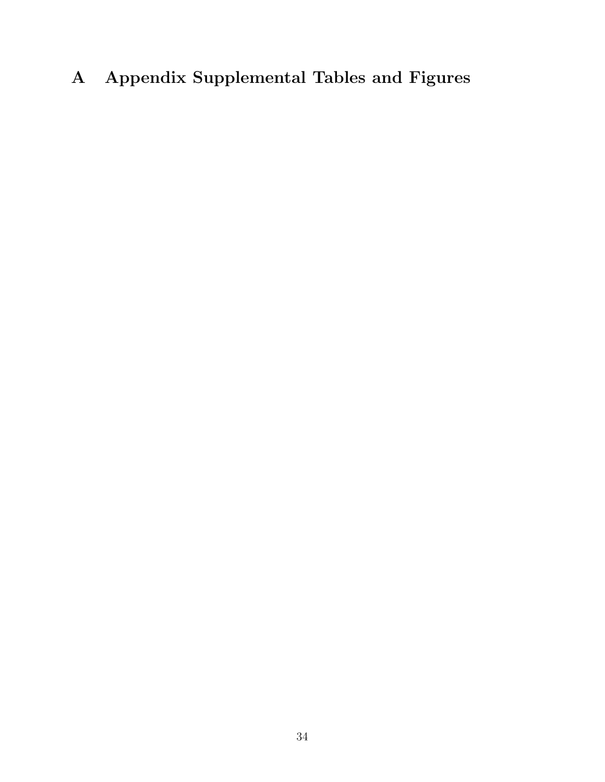# A Appendix Supplemental Tables and Figures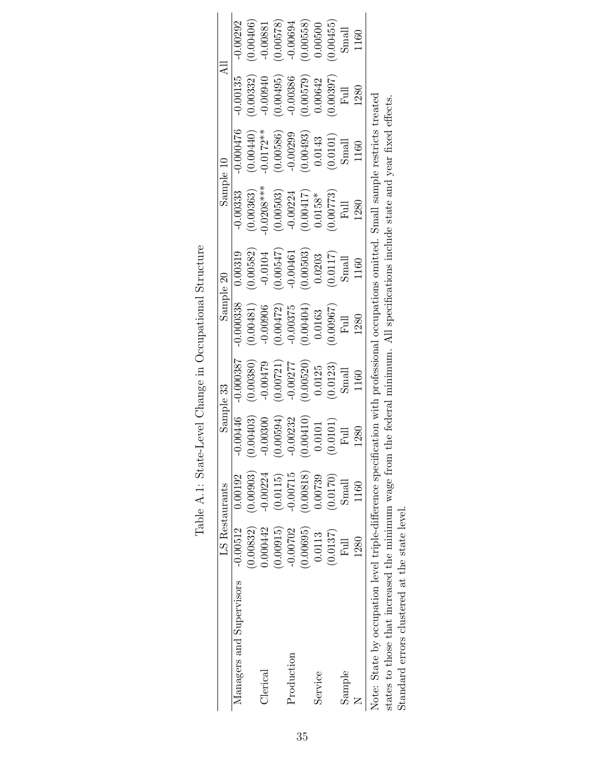|                                                                                                                                       |                | LS Restaurants |                             | Sample 33                                                         | Sample 20                                                                                                            |                                                                   | Sample 10                                                                    |                                                                                                                                                            | $\overline{A}$                                                               |            |
|---------------------------------------------------------------------------------------------------------------------------------------|----------------|----------------|-----------------------------|-------------------------------------------------------------------|----------------------------------------------------------------------------------------------------------------------|-------------------------------------------------------------------|------------------------------------------------------------------------------|------------------------------------------------------------------------------------------------------------------------------------------------------------|------------------------------------------------------------------------------|------------|
| Managers and Supervisors                                                                                                              | $-0.00512$     | 0.00192        | $-0.00446$                  | $-0.000387$                                                       | $-0.000338$                                                                                                          | 0.00319                                                           | $-0.00333$                                                                   | $-0.000476$                                                                                                                                                | $-0.00135$                                                                   | $-0.00292$ |
|                                                                                                                                       | 0.00832)       | (0.00903)      | 0.00403)                    | (0.00380)                                                         |                                                                                                                      | (0.00582)                                                         | (0.00363)                                                                    |                                                                                                                                                            | (0.00332)                                                                    | (0.00406)  |
| $\alpha$ lerical                                                                                                                      | 0.000442       | $-0.00224$     | $-0.00300$                  | $-0.00479$                                                        |                                                                                                                      | $-0.0104$                                                         | $0.0208***$                                                                  |                                                                                                                                                            | $-0.00940$                                                                   | $-0.00881$ |
|                                                                                                                                       | (0.00915)      | (0.0115)       | (0.00594)                   | $\begin{array}{c} (0.00721) \\ -0.00277 \\ (0.00520) \end{array}$ | $\begin{array}{c} (0.00481) \\ -0.00906 \\ (0.00472) \\ (0.00472) \\ -0.00375 \\ (0.00404) \\ (0.00404) \end{array}$ | $\begin{array}{c} (0.00547) \\ -0.00461 \\ (0.00503) \end{array}$ | (0.00503)                                                                    | $\begin{array}{l} (0.00440) \\ -0.0172^{**} \\ (0.00586) \\ -0.00386) \\ (0.00493) \\ (0.00493) \\ 0.0143 \\ \mathrm{Small} \\ \mathrm{Small} \end{array}$ | $\begin{array}{c} (0.00495) \\ -0.00386 \\ (0.00579) \\ 0.00642 \end{array}$ | (0.00578)  |
| Production                                                                                                                            | $-0.00702$     | $-0.00715$     | $-0.00232$                  |                                                                   |                                                                                                                      |                                                                   |                                                                              |                                                                                                                                                            |                                                                              | $-0.00694$ |
|                                                                                                                                       | (0.00695)      | (0.00818)      | 0.00410)                    |                                                                   |                                                                                                                      |                                                                   | $\begin{array}{c} -0.00224 \\ (0.00417) \\ 0.0158* \end{array}$              |                                                                                                                                                            |                                                                              | (0.00558)  |
| Service                                                                                                                               | 0.0113         | 0.00739        | $0.0101\,$                  | $\begin{array}{c} 0.0125 \\ (0.0123) \\ \text{Small} \end{array}$ |                                                                                                                      | $\begin{array}{c} 0.0203 \\ (0.0117) \\ \text{Small} \end{array}$ |                                                                              |                                                                                                                                                            |                                                                              | 0.00500    |
|                                                                                                                                       | (0.0137)       | (0.0170)       | $\left( 0.0101\right)$ Full |                                                                   | $(0.00967)$ Full                                                                                                     |                                                                   | $(0.00773)$<br>Full                                                          |                                                                                                                                                            | $(0.00397)$ ${\rm Full}$                                                     | (0.00455)  |
| Sample                                                                                                                                | $_{\rm{Full}}$ | Small          |                             |                                                                   |                                                                                                                      |                                                                   |                                                                              |                                                                                                                                                            |                                                                              | Small      |
|                                                                                                                                       | 1280           | 1160           | 1280                        | 1160                                                              | 1280                                                                                                                 | 1160                                                              | 1280                                                                         | 1160                                                                                                                                                       | 1280                                                                         | 1160       |
| Note: State by occupation level triple-difference specification with professional occupations omitted. Small sample restricts treated |                |                |                             |                                                                   |                                                                                                                      |                                                                   |                                                                              |                                                                                                                                                            |                                                                              |            |
| states to those that increased the minimum wage from                                                                                  |                |                |                             |                                                                   |                                                                                                                      |                                                                   | the federal minimum. All specifications include state and year fixed effects |                                                                                                                                                            |                                                                              |            |
| Standard errors clustered at the state level.                                                                                         |                |                |                             |                                                                   |                                                                                                                      |                                                                   |                                                                              |                                                                                                                                                            |                                                                              |            |

Table A.1: State-Level Change in Occupational Structure Table A.1: State-Level Change in Occupational Structure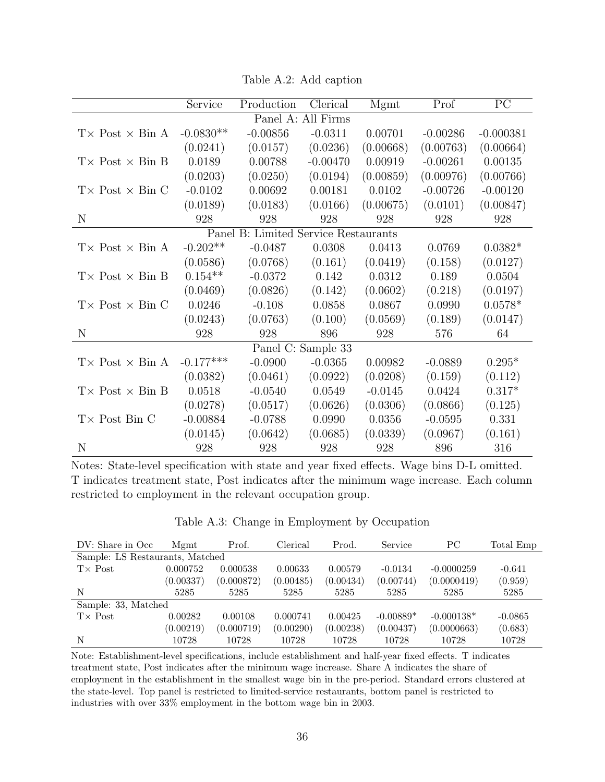|                                      | Service     | Production | Clerical           | Mgmt      | Prof       | PC          |  |  |
|--------------------------------------|-------------|------------|--------------------|-----------|------------|-------------|--|--|
|                                      |             |            | Panel A: All Firms |           |            |             |  |  |
| $T \times$ Post $\times$ Bin A       | $-0.0830**$ | $-0.00856$ | $-0.0311$          | 0.00701   | $-0.00286$ | $-0.000381$ |  |  |
|                                      | (0.0241)    | (0.0157)   | (0.0236)           | (0.00668) | (0.00763)  | (0.00664)   |  |  |
| $T \times$ Post $\times$ Bin B       | 0.0189      | 0.00788    | $-0.00470$         | 0.00919   | $-0.00261$ | 0.00135     |  |  |
|                                      | (0.0203)    | (0.0250)   | (0.0194)           | (0.00859) | (0.00976)  | (0.00766)   |  |  |
| $T \times$ Post $\times$ Bin C       | $-0.0102$   | 0.00692    | 0.00181            | 0.0102    | $-0.00726$ | $-0.00120$  |  |  |
|                                      | (0.0189)    | (0.0183)   | (0.0166)           | (0.00675) | (0.0101)   | (0.00847)   |  |  |
| N                                    | 928         | 928        | 928                | 928       | 928        | 928         |  |  |
| Panel B: Limited Service Restaurants |             |            |                    |           |            |             |  |  |
| $T \times$ Post $\times$ Bin A       | $-0.202**$  | $-0.0487$  | 0.0308             | 0.0413    | 0.0769     | $0.0382*$   |  |  |
|                                      | (0.0586)    | (0.0768)   | (0.161)            | (0.0419)  | (0.158)    | (0.0127)    |  |  |
| $T \times$ Post $\times$ Bin B       | $0.154**$   | $-0.0372$  | 0.142              | 0.0312    | 0.189      | 0.0504      |  |  |
|                                      | (0.0469)    | (0.0826)   | (0.142)            | (0.0602)  | (0.218)    | (0.0197)    |  |  |
| $T \times$ Post $\times$ Bin C       | 0.0246      | $-0.108$   | 0.0858             | 0.0867    | 0.0990     | $0.0578*$   |  |  |
|                                      | (0.0243)    | (0.0763)   | (0.100)            | (0.0569)  | (0.189)    | (0.0147)    |  |  |
| N                                    | 928         | 928        | 896                | 928       | 576        | 64          |  |  |
|                                      |             |            | Panel C: Sample 33 |           |            |             |  |  |
| $T \times$ Post $\times$ Bin A       | $-0.177***$ | $-0.0900$  | $-0.0365$          | 0.00982   | $-0.0889$  | $0.295*$    |  |  |
|                                      | (0.0382)    | (0.0461)   | (0.0922)           | (0.0208)  | (0.159)    | (0.112)     |  |  |
| $T \times Post \times Bin B$         | 0.0518      | $-0.0540$  | 0.0549             | $-0.0145$ | 0.0424     | $0.317*$    |  |  |
|                                      | (0.0278)    | (0.0517)   | (0.0626)           | (0.0306)  | (0.0866)   | (0.125)     |  |  |
| $T \times$ Post Bin C                | $-0.00884$  | $-0.0788$  | 0.0990             | 0.0356    | $-0.0595$  | 0.331       |  |  |
|                                      | (0.0145)    | (0.0642)   | (0.0685)           | (0.0339)  | (0.0967)   | (0.161)     |  |  |
| N                                    | 928         | 928        | 928                | 928       | 896        | 316         |  |  |

Table A.2: Add caption

Notes: State-level specification with state and year fixed effects. Wage bins D-L omitted. T indicates treatment state, Post indicates after the minimum wage increase. Each column restricted to employment in the relevant occupation group.

Table A.3: Change in Employment by Occupation

| DV: Share in Occ.               | Mgmt      | Prof.      | Clerical  | Prod.     | Service     | PС           | Total Emp |
|---------------------------------|-----------|------------|-----------|-----------|-------------|--------------|-----------|
| Sample: LS Restaurants, Matched |           |            |           |           |             |              |           |
| $T \times$ Post                 | 0.000752  | 0.000538   | 0.00633   | 0.00579   | $-0.0134$   | $-0.0000259$ | $-0.641$  |
|                                 | (0.00337) | (0.000872) | (0.00485) | (0.00434) | (0.00744)   | (0.0000419)  | (0.959)   |
| N                               | 5285      | 5285       | 5285      | 5285      | 5285        | 5285         | 5285      |
| Sample: 33, Matched             |           |            |           |           |             |              |           |
| $T \times$ Post                 | 0.00282   | 0.00108    | 0.000741  | 0.00425   | $-0.00889*$ | $-0.000138*$ | $-0.0865$ |
|                                 | (0.00219) | (0.000719) | (0.00290) | (0.00238) | (0.00437)   | (0.0000663)  | (0.683)   |
| N                               | 10728     | 10728      | 10728     | 10728     | 10728       | 10728        | 10728     |

Note: Establishment-level specifications, include establishment and half-year fixed effects. T indicates treatment state, Post indicates after the minimum wage increase. Share A indicates the share of employment in the establishment in the smallest wage bin in the pre-period. Standard errors clustered at the state-level. Top panel is restricted to limited-service restaurants, bottom panel is restricted to industries with over 33% employment in the bottom wage bin in 2003.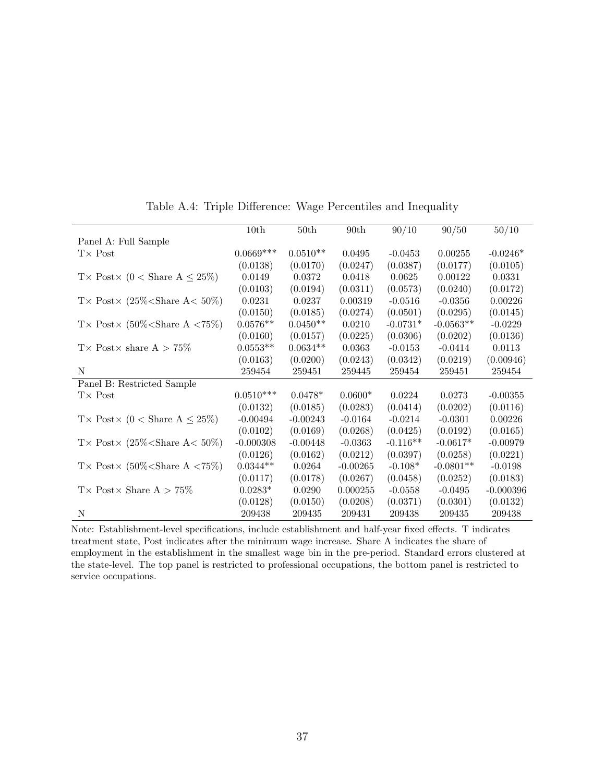|                                                                                                                                                                                                                                        | 10th        | 50th       | 90th       | 90/10      | 90/50       | 50/10       |
|----------------------------------------------------------------------------------------------------------------------------------------------------------------------------------------------------------------------------------------|-------------|------------|------------|------------|-------------|-------------|
| Panel A: Full Sample                                                                                                                                                                                                                   |             |            |            |            |             |             |
| $T\times$ Post                                                                                                                                                                                                                         | $0.0669***$ | $0.0510**$ | 0.0495     | $-0.0453$  | 0.00255     | $-0.0246*$  |
|                                                                                                                                                                                                                                        | (0.0138)    | (0.0170)   | (0.0247)   | (0.0387)   | (0.0177)    | (0.0105)    |
| T × Post × (0 < Share $A \leq 25\%$ )                                                                                                                                                                                                  | 0.0149      | 0.0372     | 0.0418     | 0.0625     | 0.00122     | 0.0331      |
|                                                                                                                                                                                                                                        | (0.0103)    | (0.0194)   | (0.0311)   | (0.0573)   | (0.0240)    | (0.0172)    |
| T × Post × $(25\%<\text{Share } A < 50\%)$                                                                                                                                                                                             | 0.0231      | 0.0237     | 0.00319    | $-0.0516$  | $-0.0356$   | 0.00226     |
|                                                                                                                                                                                                                                        | (0.0150)    | (0.0185)   | (0.0274)   | (0.0501)   | (0.0295)    | (0.0145)    |
| T × Post × $(50\%<\text{Share A } < 75\%)$                                                                                                                                                                                             | $0.0576**$  | $0.0450**$ | 0.0210     | $-0.0731*$ | $-0.0563**$ | $-0.0229$   |
|                                                                                                                                                                                                                                        | (0.0160)    | (0.0157)   | (0.0225)   | (0.0306)   | (0.0202)    | (0.0136)    |
| $T \times$ Post $\times$ share $A > 75\%$                                                                                                                                                                                              | $0.0553**$  | $0.0634**$ | 0.0363     | $-0.0153$  | $-0.0414$   | 0.0113      |
|                                                                                                                                                                                                                                        | (0.0163)    | (0.0200)   | (0.0243)   | (0.0342)   | (0.0219)    | (0.00946)   |
| N                                                                                                                                                                                                                                      | 259454      | 259451     | 259445     | 259454     | 259451      | 259454      |
| Panel B: Restricted Sample                                                                                                                                                                                                             |             |            |            |            |             |             |
| $T \times$ Post                                                                                                                                                                                                                        | $0.0510***$ | $0.0478*$  | $0.0600*$  | 0.0224     | 0.0273      | $-0.00355$  |
|                                                                                                                                                                                                                                        | (0.0132)    | (0.0185)   | (0.0283)   | (0.0414)   | (0.0202)    | (0.0116)    |
| T × Post × (0 < Share A $\leq$ 25%)                                                                                                                                                                                                    | $-0.00494$  | $-0.00243$ | $-0.0164$  | $-0.0214$  | $-0.0301$   | 0.00226     |
|                                                                                                                                                                                                                                        | (0.0102)    | (0.0169)   | (0.0268)   | (0.0425)   | (0.0192)    | (0.0165)    |
| T× Post× (25% <share 50%)<="" a<="" td=""><td><math>-0.000308</math></td><td><math>-0.00448</math></td><td><math>-0.0363</math></td><td><math>-0.116**</math></td><td><math>-0.0617*</math></td><td><math>-0.00979</math></td></share> | $-0.000308$ | $-0.00448$ | $-0.0363$  | $-0.116**$ | $-0.0617*$  | $-0.00979$  |
|                                                                                                                                                                                                                                        | (0.0126)    | (0.0162)   | (0.0212)   | (0.0397)   | (0.0258)    | (0.0221)    |
| T × Post × $(50\%<\text{Share A } < 75\%)$                                                                                                                                                                                             | $0.0344**$  | 0.0264     | $-0.00265$ | $-0.108*$  | $-0.0801**$ | $-0.0198$   |
|                                                                                                                                                                                                                                        | (0.0117)    | (0.0178)   | (0.0267)   | (0.0458)   | (0.0252)    | (0.0183)    |
| $T \times$ Post $\times$ Share A $> 75\%$                                                                                                                                                                                              | $0.0283*$   | 0.0290     | 0.000255   | $-0.0558$  | $-0.0495$   | $-0.000396$ |
|                                                                                                                                                                                                                                        | (0.0128)    | (0.0150)   | (0.0208)   | (0.0371)   | (0.0301)    | (0.0132)    |
| N                                                                                                                                                                                                                                      | 209438      | 209435     | 209431     | 209438     | 209435      | 209438      |

Table A.4: Triple Difference: Wage Percentiles and Inequality

Note: Establishment-level specifications, include establishment and half-year fixed effects. T indicates treatment state, Post indicates after the minimum wage increase. Share A indicates the share of employment in the establishment in the smallest wage bin in the pre-period. Standard errors clustered at the state-level. The top panel is restricted to professional occupations, the bottom panel is restricted to service occupations.